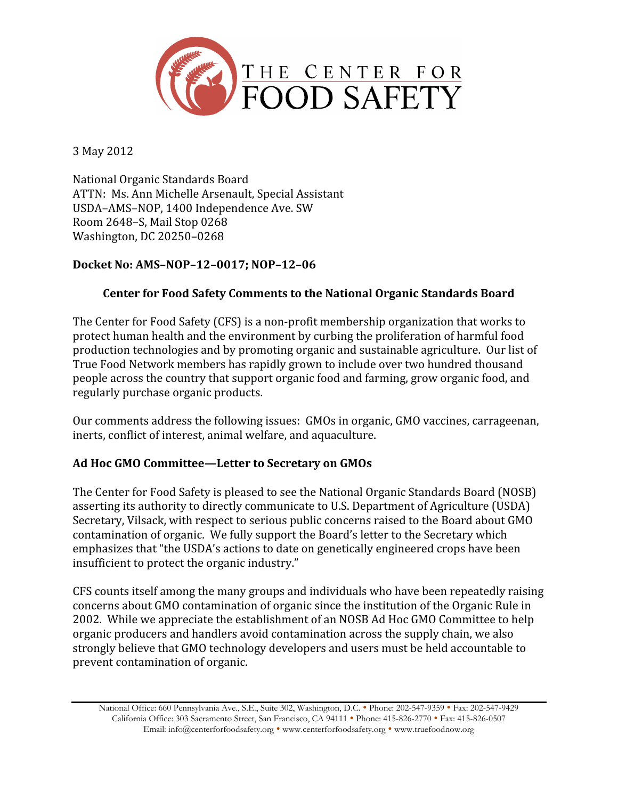

3
May
2012

National
Organic
Standards
Board ATTN:

Ms.
Ann
Michelle
Arsenault,
Special
Assistant USDA–AMS–NOP,
1400
Independence
Ave.
SW Room
2648–S,
Mail
Stop
0268 Washington,
DC
20250–0268

# **Docket No: AMS–NOP–12–0017; NOP–12–06**

# **Center for Food Safety Comments to the National Organic Standards Board**

The
Center
for
Food
Safety
(CFS)
is
a
non‐profit
membership
organization
that
works
to protect
human
health
and
the
environment
by
curbing
the
proliferation
of
harmful
food production
technologies
and
by
promoting
organic
and
sustainable
agriculture.

Our
list
of True
Food
Network
members
has
rapidly
grown
to
include
over
two
hundred
thousand people
across
the
country
that
support
organic
food
and
farming,
grow
organic
food,
and regularly
purchase
organic
products.

Our comments address the following issues: GMOs in organic, GMO vaccines, carrageenan, inerts, conflict of interest, animal welfare, and aquaculture.

## **Ad Hoc GMO Committee—Letter to Secretary on GMOs**

The
Center
for
Food
Safety
is
pleased
to
see
the
National
Organic
Standards
Board
(NOSB) asserting
its
authority
to
directly
communicate
to
U.S.
Department
of
Agriculture
(USDA) Secretary, Vilsack, with respect to serious public concerns raised to the Board about GMO contamination
of
organic.

We
fully
support
the
Board's
letter
to
the
Secretary
which emphasizes
that
"the
USDA's
actions
to
date
on
genetically
engineered
crops
have
been insufficient
to
protect
the
organic
industry."

CFS
counts
itself
among
the
many
groups
and
individuals
who
have
been
repeatedly
raising concerns
about
GMO
contamination
of
organic
since
the
institution
of
the
Organic
Rule
in 2002.

While
we
appreciate
the
establishment
of
an
NOSB
Ad
Hoc
GMO
Committee
to
help organic
producers
and
handlers
avoid
contamination
across
the
supply
chain,
we
also strongly
believe
that
GMO
technology
developers
and
users
must
be
held
accountable
to prevent
contamination
of
organic.

National Office: 660 Pennsylvania Ave., S.E., Suite 302, Washington, D.C. • Phone: 202-547-9359 • Fax: 202-547-9429 California Office: 303 Sacramento Street, San Francisco, CA 94111 • Phone: 415-826-2770 • Fax: 415-826-0507 Email: info@centerforfoodsafety.org • www.centerforfoodsafety.org • www.truefoodnow.org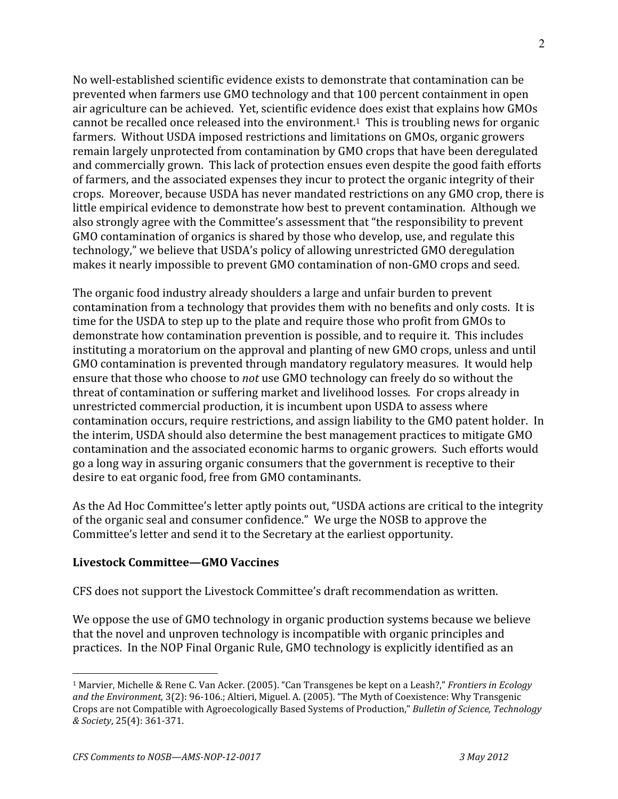No well-established scientific evidence exists to demonstrate that contamination can be prevented
when
farmers
use
GMO
technology
and
that
100
percent
containment
in
open air
agriculture
can
be
achieved.

Yet,
scientific
evidence
does
exist
that
explains
how
GMOs cannot
be
recalled
once
released
into
the
environment.1

This
is
troubling
news
for
organic farmers.

Without
USDA
imposed
restrictions
and
limitations
on
GMOs,
organic
growers remain
largely
unprotected
from
contamination
by
GMO
crops
that
have
been
deregulated and
commercially
grown.

This
lack
of
protection
ensues
even
despite
the
good
faith
efforts of
farmers,
and
the
associated
expenses
they
incur
to
protect
the
organic
integrity
of
their crops.

Moreover,
because
USDA
has
never
mandated
restrictions
on
any
GMO
crop,
there
is little empirical evidence to demonstrate how best to prevent contamination. Although we also
strongly
agree
with
the
Committee's
assessment
that
"the
responsibility
to
prevent GMO contamination of organics is shared by those who develop, use, and regulate this technology,"
we
believe
that
USDA's
policy
of
allowing
unrestricted
GMO
deregulation makes it nearly impossible to prevent GMO contamination of non-GMO crops and seed.

The
organic
food
industry
already
shoulders
a
large
and
unfair
burden
to
prevent contamination
from
a
technology
that
provides
them
with
no
benefits
and
only
costs.

It
is time for the USDA to step up to the plate and require those who profit from GMOs to demonstrate
how
contamination
prevention
is
possible,
and
to
require
it.

This
includes instituting a moratorium on the approval and planting of new GMO crops, unless and until GMO contamination is prevented through mandatory regulatory measures. It would help ensure that those who choose to *not* use GMO technology can freely do so without the threat
of
contamination
or
suffering
market
and
livelihood
losses*.*For
crops
already
in unrestricted
commercial
production,
it
is
incumbent
upon
USDA
to
assess
where contamination
occurs,
require
restrictions,
and
assign
liability
to
the
GMO
patent
holder.

In the
interim,
USDA
should
also
determine
the
best
management
practices
to
mitigate
GMO contamination
and
the
associated
economic
harms
to
organic
growers.

Such
efforts
would go
a
long
way
in
assuring
organic
consumers
that
the
government
is
receptive
to
their desire
to
eat
organic
food,
free
from
GMO
contaminants.

As the Ad Hoc Committee's letter aptly points out, "USDA actions are critical to the integrity of
the
organic
seal
and
consumer
confidence."

We
urge
the
NOSB
to
approve
the Committee's
letter
and
send
it
to
the
Secretary
at
the
earliest
opportunity.

## **Livestock Committee—GMO Vaccines**

CFS
does
not
support
the
Livestock
Committee's
draft
recommendation
as
written.

We oppose the use of GMO technology in organic production systems because we believe that
the
novel
and
unproven
technology
is
incompatible
with
organic
principles
and practices. In the NOP Final Organic Rule, GMO technology is explicitly identified as an

<sup>&</sup>lt;sup>1</sup> Marvier, Michelle & Rene C. Van Acker. (2005). "Can Transgenes be kept on a Leash?," *Frontiers in Ecology* and the Environment, 3(2): 96-106.; Altieri, Miguel. A. (2005). "The Myth of Coexistence: Why Transgenic Crops
are
not
Compatible
with
Agroecologically
Based
Systems
of
Production," *Bulletin of Science, Technology & Society*,
25(4):
361‐371.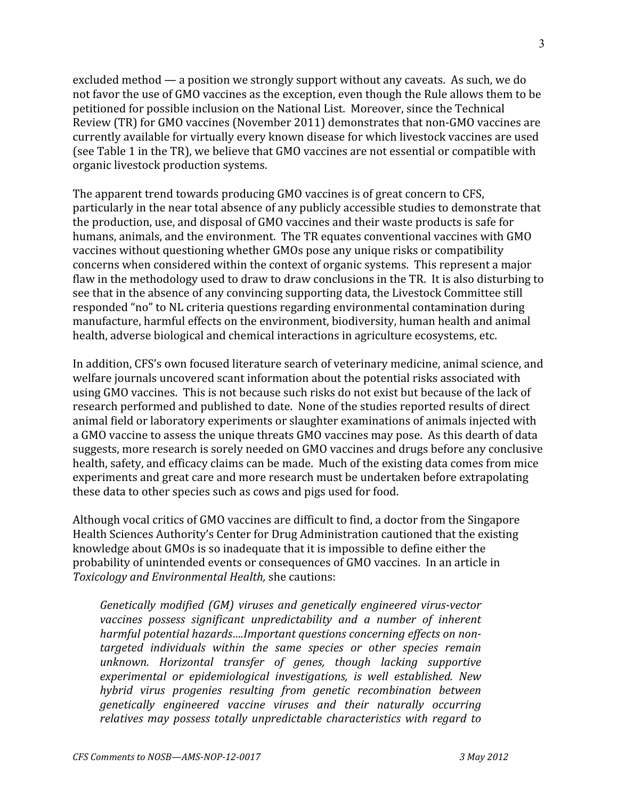excluded method — a position we strongly support without any caveats. As such, we do not
favor
the
use
of
GMO
vaccines
as
the
exception,
even
though
the
Rule
allows
them
to
be petitioned
for
possible
inclusion
on
the
National
List.

Moreover,
since
the
Technical Review (TR) for GMO vaccines (November 2011) demonstrates that non-GMO vaccines are currently
available
for
virtually
every
known
disease
for
which
livestock
vaccines
are
used (see
Table
1
in
the
TR),
we
believe
that
GMO
vaccines
are
not
essential
or
compatible
with organic
livestock
production
systems.

The
apparent
trend
towards
producing
GMO
vaccines
is
of
great
concern
to
CFS, particularly
in
the
near
total
absence
of
any
publicly
accessible
studies
to
demonstrate
that the
production,
use,
and
disposal
of
GMO
vaccines
and
their
waste
products
is
safe
for humans, animals, and the environment. The TR equates conventional vaccines with GMO vaccines
without
questioning
whether
GMOs
pose
any
unique
risks
or
compatibility concerns when considered within the context of organic systems. This represent a major flaw in the methodology used to draw to draw conclusions in the TR. It is also disturbing to see
that
in
the
absence
of
any
convincing
supporting
data,
the
Livestock
Committee
still responded
"no"
to
NL
criteria
questions
regarding
environmental
contamination
during manufacture,
harmful
effects
on
the
environment,
biodiversity,
human
health
and
animal health,
adverse
biological
and
chemical
interactions
in
agriculture
ecosystems,
etc.

In addition, CFS's own focused literature search of veterinary medicine, animal science, and welfare journals uncovered scant information about the potential risks associated with using GMO vaccines. This is not because such risks do not exist but because of the lack of research
performed
and
published
to
date.

None
of
the
studies
reported
results
of
direct animal
field
or
laboratory
experiments
or
slaughter
examinations
of
animals
injected
with a GMO vaccine to assess the unique threats GMO vaccines may pose. As this dearth of data suggests,
more
research
is
sorely
needed
on
GMO
vaccines
and
drugs
before
any
conclusive health, safety, and efficacy claims can be made. Much of the existing data comes from mice experiments
and
great
care
and
more
research
must
be
undertaken
before
extrapolating these
data
to
other
species
such
as
cows
and
pigs
used
for
food.

Although
vocal
critics
of
GMO
vaccines
are
difficult
to
find,
a
doctor
from
the
Singapore Health
Sciences
Authority's
Center
for
Drug
Administration
cautioned
that
the
existing knowledge about GMOs is so inadequate that it is impossible to define either the probability
of
unintended
events
or
consequences
of
GMO
vaccines.

In
an
article
in *Toxicology and Environmental Health,*she
cautions:

*Genetically modified (GM) viruses and genetically engineered virus-vector vaccines possess significant unpredictability and a number of inherent harmful potential hazards….Important questions concerning effects on nontargeted individuals within the same species or other species remain unknown. Horizontal transfer of genes, though lacking supportive experimental or epidemiological investigations, is well established. New hybrid virus progenies resulting from genetic recombination between genetically engineered vaccine viruses and their naturally occurring relatives may possess totally unpredictable characteristics with regard to*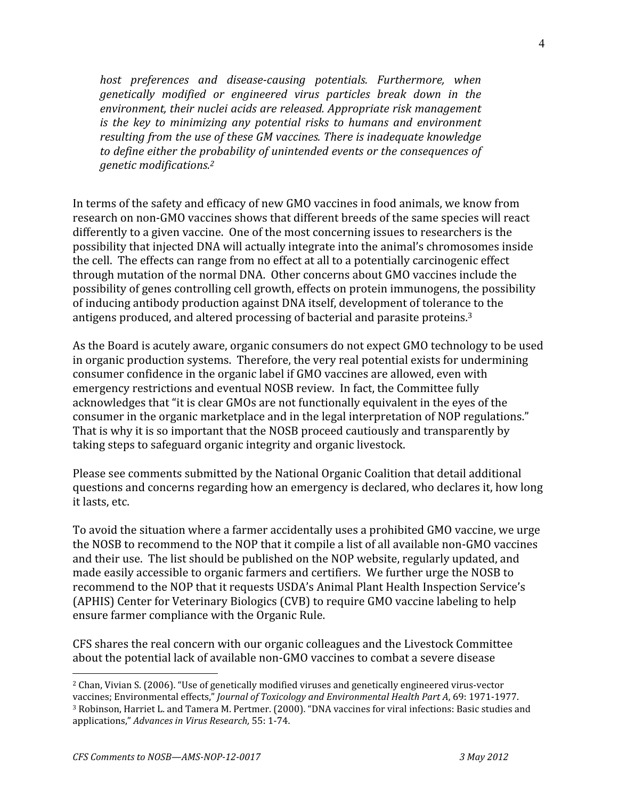*host preferences and disease-causing potentials. Furthermore, when genetically modified or engineered virus particles break down in the environment, their nuclei acids are released. Appropriate risk management is the key to minimizing any potential risks to humans and environment resulting from the use of these GM vaccines. There is inadequate knowledge to define either the probability of unintended events or the consequences of genetic modifications.2*

In terms of the safety and efficacy of new GMO vaccines in food animals, we know from research
on
non‐GMO
vaccines
shows
that
different
breeds
of
the
same
species
will
react differently to a given vaccine. One of the most concerning issues to researchers is the possibility
that
injected
DNA
will
actually
integrate
into
the
animal's
chromosomes
inside the
cell.

The
effects
can
range
from
no
effect
at
all
to
a
potentially
carcinogenic
effect through
mutation
of
the
normal
DNA.

Other
concerns
about
GMO
vaccines
include
the possibility
of
genes
controlling
cell
growth,
effects
on
protein
immunogens,
the
possibility of
inducing
antibody
production
against
DNA
itself,
development
of
tolerance
to
the antigens produced, and altered processing of bacterial and parasite proteins.<sup>3</sup>

As the Board is acutely aware, organic consumers do not expect GMO technology to be used in
organic
production
systems.

Therefore,
the
very
real
potential
exists
for
undermining consumer
confidence
in
the
organic
label
if
GMO
vaccines
are
allowed,
even
with emergency
restrictions
and
eventual
NOSB
review.

In
fact,
the
Committee
fully acknowledges that "it is clear GMOs are not functionally equivalent in the eyes of the consumer
in
the
organic
marketplace
and
in
the
legal
interpretation
of
NOP
regulations." That is why it is so important that the NOSB proceed cautiously and transparently by taking steps to safeguard organic integrity and organic livestock.

Please
see
comments
submitted
by
the
National
Organic
Coalition
that
detail
additional questions
and
concerns
regarding
how
an
emergency
is
declared,
who
declares
it,
how
long it
lasts,
etc.

To
avoid
the
situation
where
a
farmer
accidentally
uses
a
prohibited
GMO
vaccine,
we
urge the NOSB to recommend to the NOP that it compile a list of all available non-GMO vaccines and
their
use.

The
list
should
be
published
on
the
NOP
website,
regularly
updated,
and made
easily
accessible
to
organic
farmers
and
certifiers.

We
further
urge
the
NOSB
to recommend to the NOP that it requests USDA's Animal Plant Health Inspection Service's (APHIS)
Center
for
Veterinary
Biologics
(CVB)
to
require
GMO
vaccine
labeling
to
help ensure
farmer
compliance
with
the
Organic
Rule.

CFS
shares
the
real
concern
with
our
organic
colleagues
and
the
Livestock
Committee about
the
potential
lack
of
available
non‐GMO
vaccines
to
combat
a
severe
disease

<sup>2</sup> Chan,
Vivian
S.
(2006).
"Use
of
genetically
modified
viruses
and
genetically
engineered
virus‐vector

vaccines;
Environmental
effects," *Journal of Toxicology and Environmental Health Part A*,
69:
1971‐1977. <sup>3</sup> Robinson, Harriet L. and Tamera M. Pertmer. (2000). "DNA vaccines for viral infections: Basic studies and applications," *Advances in Virus Research,* 55:
1‐74.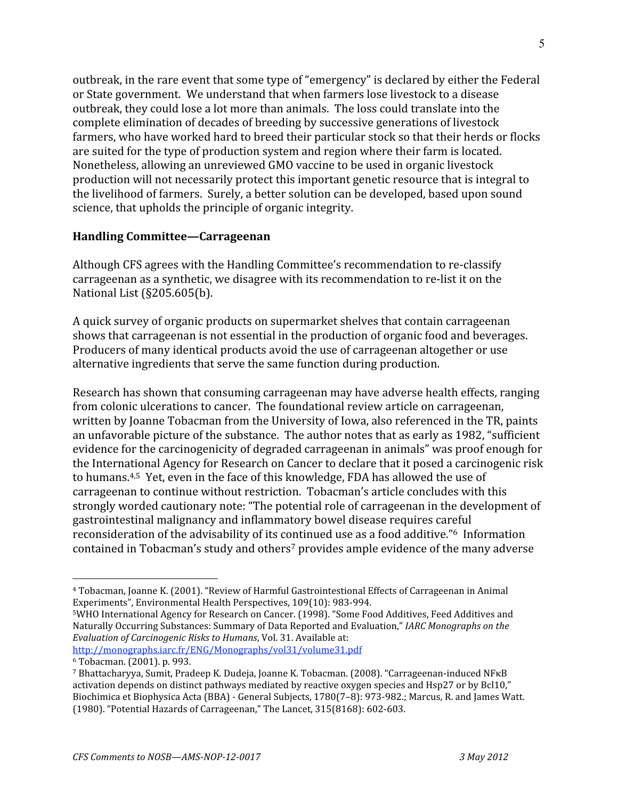outbreak,
in
the
rare
event
that
some
type
of
"emergency"
is
declared
by
either
the
Federal or
State
government.

We
understand
that
when
farmers
lose
livestock
to
a
disease outbreak,
they
could
lose
a
lot
more
than
animals.

The
loss
could
translate
into
the complete
elimination
of
decades
of
breeding
by
successive
generations
of
livestock farmers, who have worked hard to breed their particular stock so that their herds or flocks are
suited
for
the
type
of
production
system
and
region
where
their
farm
is
located. Nonetheless,
allowing
an
unreviewed
GMO
vaccine
to
be
used
in
organic
livestock production
will
not
necessarily
protect
this
important
genetic
resource
that
is
integral
to the
livelihood
of
farmers.

Surely,
a
better
solution
can
be
developed,
based
upon
sound science,
that
upholds
the
principle
of
organic
integrity.

## **Handling Committee—Carrageenan**

Although CFS agrees with the Handling Committee's recommendation to re-classify carrageenan as a synthetic, we disagree with its recommendation to re-list it on the National
List
(§205.605(b).

A
quick
survey
of
organic
products
on
supermarket
shelves
that
contain
carrageenan shows
that
carrageenan
is
not
essential
in
the
production
of
organic
food
and
beverages. Producers of many identical products avoid the use of carrageenan altogether or use alternative
ingredients
that
serve
the
same
function
during
production.

Research
has
shown
that
consuming
carrageenan
may
have
adverse
health
effects,
ranging from
colonic
ulcerations
to
cancer.

The
foundational
review
article
on
carrageenan, written by Joanne Tobacman from the University of Iowa, also referenced in the TR, paints an
unfavorable
picture
of
the
substance.

The
author
notes
that
as
early
as
1982,
"sufficient evidence
for
the
carcinogenicity
of
degraded
carrageenan
in
animals"
was
proof
enough
for the
International
Agency
for
Research
on
Cancer
to
declare
that
it
posed
a
carcinogenic
risk to humans.<sup>4,5</sup> Yet, even in the face of this knowledge, FDA has allowed the use of carrageenan
to
continue
without
restriction.

Tobacman's
article
concludes
with
this strongly worded cautionary note: "The potential role of carrageenan in the development of gastrointestinal
malignancy
and
inflammatory
bowel
disease
requires
careful reconsideration of the advisability of its continued use as a food additive."<sup>6</sup> Information contained in Tobacman's study and others<sup>7</sup> provides ample evidence of the many adverse

 $\overline{a}$ <sup>4</sup> Tobacman, Joanne K. (2001). "Review of Harmful Gastrointestional Effects of Carrageenan in Animal Experiments",
Environmental
Health
Perspectives,
109(10):
983‐994.

<sup>&</sup>lt;sup>5</sup>WHO International Agency for Research on Cancer. (1998). "Some Food Additives, Feed Additives and Naturally
Occurring
Substances:
Summary
of
Data
Reported
and
Evaluation," *IARC Monographs on the*  Evaluation of Carcinogenic Risks to Humans, Vol. 31. Available at:

http://monographs.iarc.fr/ENG/Monographs/vol31/volume31.pdf 6
Tobacman.
(2001).
p.
993.

<sup>&</sup>lt;sup>7</sup> Bhattacharyya, Sumit, Pradeep K. Dudeja, Joanne K. Tobacman. (2008). "Carrageenan-induced NFKB activation
depends
on
distinct
pathways
mediated
by
reactive
oxygen
species
and
Hsp27
or
by
Bcl10," Biochimica et Biophysica Acta (BBA) - General Subjects, 1780(7-8): 973-982.; Marcus, R. and James Watt. (1980).
"Potential
Hazards
of
Carrageenan,"
The
Lancet,
315(8168):
602‐603.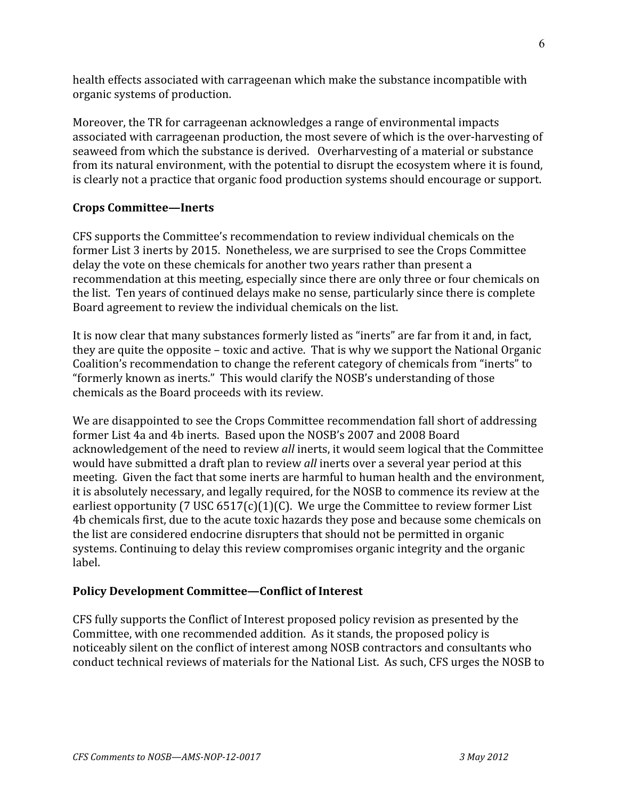health
effects
associated
with
carrageenan
which
make
the
substance
incompatible
with organic
systems
of
production.

Moreover, the TR for carrageenan acknowledges a range of environmental impacts associated
with
carrageenan
production,
the
most
severe
of
which
is
the
over‐harvesting
of seaweed from which the substance is derived. Overharvesting of a material or substance from its natural environment, with the potential to disrupt the ecosystem where it is found, is
clearly
not
a
practice
that
organic
food
production
systems
should
encourage
or
support.

# **Crops Committee—Inerts**

CFS
supports
the
Committee's
recommendation
to
review
individual
chemicals
on
the former
List
3
inerts
by
2015.

Nonetheless,
we
are
surprised
to
see
the
Crops
Committee delay the vote on these chemicals for another two years rather than present a recommendation at this meeting, especially since there are only three or four chemicals on the
list.

Ten
years
of
continued
delays
make
no
sense,
particularly
since
there
is
complete Board
agreement
to
review
the
individual
chemicals
on
the
list.

It is now clear that many substances formerly listed as "inerts" are far from it and, in fact, they are quite the opposite – toxic and active. That is why we support the National Organic Coalition's recommendation to change the referent category of chemicals from "inerts" to "formerly
known
as
inerts."

This
would
clarify
the
NOSB's
understanding
of
those chemicals
as
the
Board
proceeds
with
its
review.

We are disappointed to see the Crops Committee recommendation fall short of addressing former
List
4a
and
4b
inerts.

Based
upon
the
NOSB's
2007
and
2008
Board acknowledgement of the need to review *all* inerts, it would seem logical that the Committee would have submitted a draft plan to review *all* inerts over a several year period at this meeting. Given the fact that some inerts are harmful to human health and the environment, it
is
absolutely
necessary,
and
legally
required,
for
the
NOSB
to
commence
its
review
at
the earliest opportunity (7 USC  $6517(c)(1)(C)$ . We urge the Committee to review former List 4b
chemicals
first,
due
to
the
acute
toxic
hazards
they
pose
and
because
some
chemicals
on the
list
are
considered
endocrine
disrupters
that
should
not
be
permitted
in
organic systems. Continuing to delay this review compromises organic integrity and the organic label.

## **Policy Development Committee—Conflict of Interest**

CFS
fully
supports
the
Conflict
of
Interest
proposed
policy
revision
as
presented
by
the Committee, with one recommended addition. As it stands, the proposed policy is noticeably
silent
on
the
conflict
of
interest
among
NOSB
contractors
and
consultants
who conduct
technical
reviews
of
materials
for
the
National
List.

As
such,
CFS
urges
the
NOSB
to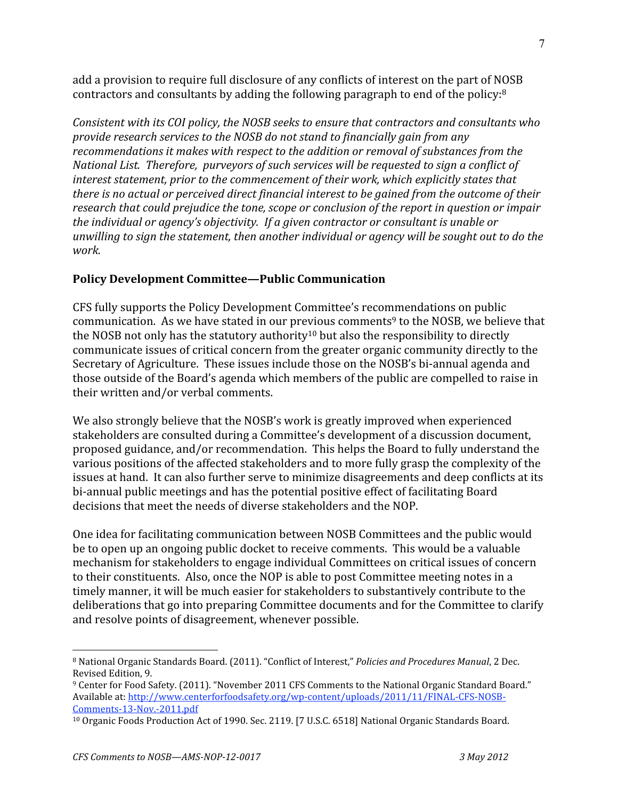add a provision to require full disclosure of any conflicts of interest on the part of NOSB contractors
and
consultants
by
adding
the
following
paragraph
to
end
of
the
policy:8

*Consistent with its COI policy, the NOSB seeks to ensure that contractors and consultants who provide research services to the NOSB do not stand to financially gain from any recommendations it makes with respect to the addition or removal of substances from the National List. Therefore, purveyors of such services will be requested to sign a conflict of interest statement, prior to the commencement of their work, which explicitly states that there is no actual or perceived direct financial interest to be gained from the outcome of their research that could prejudice the tone, scope or conclusion of the report in question or impair the individual or agency's objectivity. If a given contractor or consultant is unable or unwilling to sign the statement, then another individual or agency will be sought out to do the work.*

# **Policy Development Committee—Public Communication**

CFS
fully
supports
the
Policy
Development
Committee's
recommendations
on
public communication. As we have stated in our previous comments<sup>9</sup> to the NOSB, we believe that the NOSB not only has the statutory authority<sup>10</sup> but also the responsibility to directly communicate issues of critical concern from the greater organic community directly to the Secretary of Agriculture. These issues include those on the NOSB's bi-annual agenda and those
outside
of
the
Board's
agenda
which
members
of
the
public
are
compelled
to
raise
in their
written
and/or
verbal
comments.

We also strongly believe that the NOSB's work is greatly improved when experienced stakeholders
are
consulted
during
a
Committee's
development
of
a
discussion
document, proposed
guidance,
and/or
recommendation.

This
helps
the
Board
to
fully
understand
the various positions of the affected stakeholders and to more fully grasp the complexity of the issues at hand. It can also further serve to minimize disagreements and deep conflicts at its bi-annual public meetings and has the potential positive effect of facilitating Board decisions
that
meet
the
needs
of
diverse
stakeholders
and
the
NOP.

One
idea
for
facilitating
communication
between
NOSB
Committees
and
the
public
would be
to
open
up
an
ongoing
public
docket
to
receive
comments. This
would
be
a
valuable mechanism
for
stakeholders
to
engage
individual
Committees
on
critical
issues
of
concern to their constituents. Also, once the NOP is able to post Committee meeting notes in a timely manner, it will be much easier for stakeholders to substantively contribute to the deliberations
that
go
into
preparing
Committee
documents
and
for
the
Committee
to
clarify and
resolve
points
of
disagreement,
whenever
possible.

<sup>&</sup>lt;sup>8</sup> National Organic Standards Board. (2011). "Conflict of Interest," Policies and Procedures Manual, 2 Dec. Revised
Edition,
9.

<sup>&</sup>lt;sup>9</sup> Center for Food Safety. (2011). "November 2011 CFS Comments to the National Organic Standard Board." Available at: http://www.centerforfoodsafety.org/wp-content/uploads/2011/11/FINAL-CFS-NOSB-Comments‐13‐Nov.‐2011.pdf

<sup>&</sup>lt;sup>10</sup> Organic Foods Production Act of 1990. Sec. 2119. [7 U.S.C. 6518] National Organic Standards Board.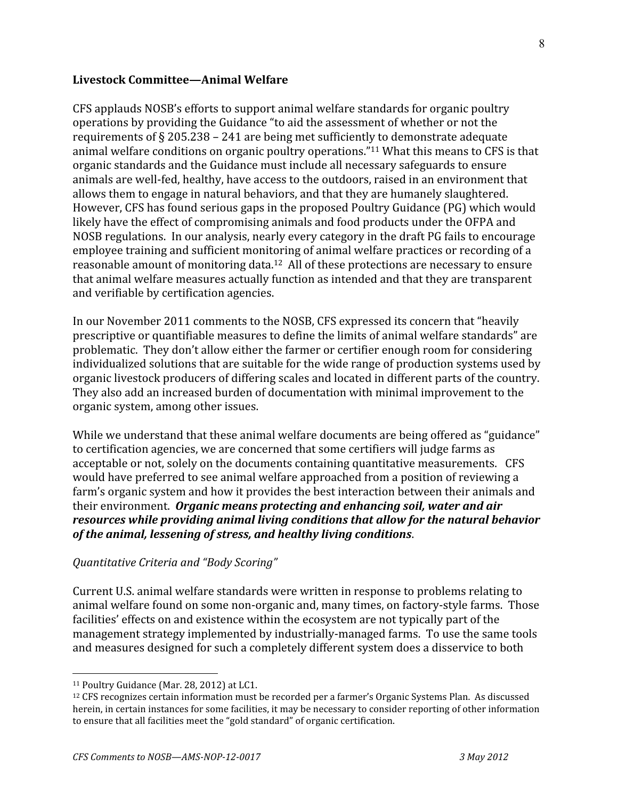#### **Livestock Committee—Animal Welfare**

CFS
applauds
NOSB's
efforts
to
support
animal
welfare
standards
for
organic
poultry operations
by
providing
the
Guidance
"to
aid
the
assessment
of
whether
or
not
the requirements of  $\S 205.238 - 241$  are being met sufficiently to demonstrate adequate animal welfare conditions on organic poultry operations."<sup>11</sup> What this means to CFS is that organic
standards
and
the
Guidance
must
include
all
necessary
safeguards
to
ensure animals
are
well‐fed,
healthy,
have
access
to
the
outdoors,
raised
in
an
environment
that allows
them
to
engage
in
natural
behaviors,
and
that
they
are
humanely
slaughtered. However,
CFS
has
found
serious
gaps
in
the
proposed
Poultry
Guidance
(PG)
which
would likely have the effect of compromising animals and food products under the OFPA and NOSB regulations. In our analysis, nearly every category in the draft PG fails to encourage employee training and sufficient monitoring of animal welfare practices or recording of a reasonable amount of monitoring data.<sup>12</sup> All of these protections are necessary to ensure that
animal
welfare
measures
actually
function
as
intended
and
that
they
are
transparent and
verifiable
by
certification
agencies.

In
our
November
2011
comments
to
the
NOSB,
CFS
expressed
its
concern
that "heavily prescriptive
or
quantifiable
measures
to
define
the
limits
of
animal
welfare
standards"
are problematic.

They
don't
allow
either
the
farmer
or
certifier
enough
room
for
considering individualized solutions that are suitable for the wide range of production systems used by organic livestock producers of differing scales and located in different parts of the country. They
also
add
an
increased
burden
of
documentation
with
minimal
improvement
to
the organic
system,
among
other
issues.

While we understand that these animal welfare documents are being offered as "guidance" to
certification
agencies,
we
are
concerned
that
some
certifiers
will
judge
farms
as acceptable or not, solely on the documents containing quantitative measurements. CFS would have preferred to see animal welfare approached from a position of reviewing a farm's organic system and how it provides the best interaction between their animals and their
environment. *Organic means protecting and enhancing soil, water and air resources while providing animal living conditions that allow for the natural behavior of the animal, lessening of stress, and healthy living conditions*.

## *Quantitative Criteria and "Body Scoring"*

Current
U.S.
animal
welfare
standards
were
written
in
response
to
problems
relating
to animal
welfare
found
on
some
non‐organic
and,
many
times,
on
factory‐style
farms.

Those facilities' effects on and existence within the ecosystem are not typically part of the management
strategy
implemented
by
industrially‐managed
farms. To
use
the
same
tools and
measures
designed
for
such
a
completely
different
system
does
a
disservice
to
both

<sup>&</sup>lt;sup>11</sup> Poultry Guidance (Mar. 28, 2012) at LC1.

<sup>&</sup>lt;sup>12</sup> CFS recognizes certain information must be recorded per a farmer's Organic Systems Plan. As discussed herein, in certain instances for some facilities, it may be necessary to consider reporting of other information to ensure that all facilities meet the "gold standard" of organic certification.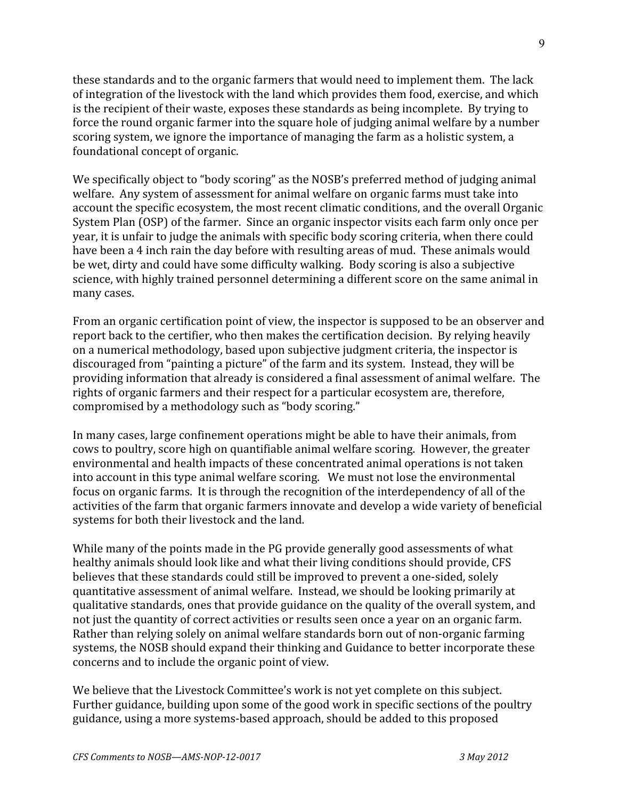these standards and to the organic farmers that would need to implement them. The lack of integration of the livestock with the land which provides them food, exercise, and which is
the
recipient
of
their
waste,
exposes
these
standards
as
being
incomplete. By
trying
to force the round organic farmer into the square hole of judging animal welfare by a number scoring system, we ignore the importance of managing the farm as a holistic system, a foundational
concept
of
organic.

We specifically object to "body scoring" as the NOSB's preferred method of judging animal welfare. Any system of assessment for animal welfare on organic farms must take into account
the
specific
ecosystem,
the
most
recent
climatic
conditions,
and
the
overall
Organic System Plan (OSP) of the farmer. Since an organic inspector visits each farm only once per year,
it
is
unfair
to
judge
the
animals
with
specific
body
scoring
criteria,
when
there
could have been a 4 inch rain the day before with resulting areas of mud. These animals would be wet, dirty and could have some difficulty walking. Body scoring is also a subjective science,
with
highly
trained
personnel
determining
a
different
score
on
the
same
animal
in many
cases.

From an organic certification point of view, the inspector is supposed to be an observer and report back to the certifier, who then makes the certification decision. By relying heavily on
a
numerical
methodology,
based
upon
subjective
judgment
criteria,
the
inspector
is discouraged
from
"painting
a
picture"
of
the
farm
and
its
system.

Instead,
they
will
be providing information that already is considered a final assessment of animal welfare. The rights
of
organic
farmers
and
their
respect
for
a
particular
ecosystem
are,
therefore, compromised
by
a
methodology
such
as
"body
scoring."

In
many
cases,
large
confinement
operations
might
be
able
to
have
their
animals,
from cows
to
poultry,
score
high
on
quantifiable
animal
welfare
scoring. However,
the
greater environmental
and
health
impacts
of
these
concentrated
animal
operations
is
not
taken into
account
in
this
type
animal
welfare
scoring.

We
must
not
lose
the
environmental focus on organic farms. It is through the recognition of the interdependency of all of the activities of the farm that organic farmers innovate and develop a wide variety of beneficial systems
for
both
their
livestock
and
the
land.

While many of the points made in the PG provide generally good assessments of what healthy animals should look like and what their living conditions should provide, CFS believes that these standards could still be improved to prevent a one-sided, solely quantitative
assessment
of
animal
welfare. Instead,
we
should
be
looking
primarily
at qualitative
standards,
ones
that
provide
guidance
on
the
quality
of
the
overall
system,
and not
just
the
quantity
of
correct
activities
or
results
seen
once
a
year
on
an
organic
farm. Rather than relying solely on animal welfare standards born out of non-organic farming systems, the NOSB should expand their thinking and Guidance to better incorporate these concerns
and
to
include
the
organic
point
of
view.

We believe that the Livestock Committee's work is not yet complete on this subject. Further guidance, building upon some of the good work in specific sections of the poultry guidance,
using
a
more
systems‐based
approach,
should
be
added
to
this
proposed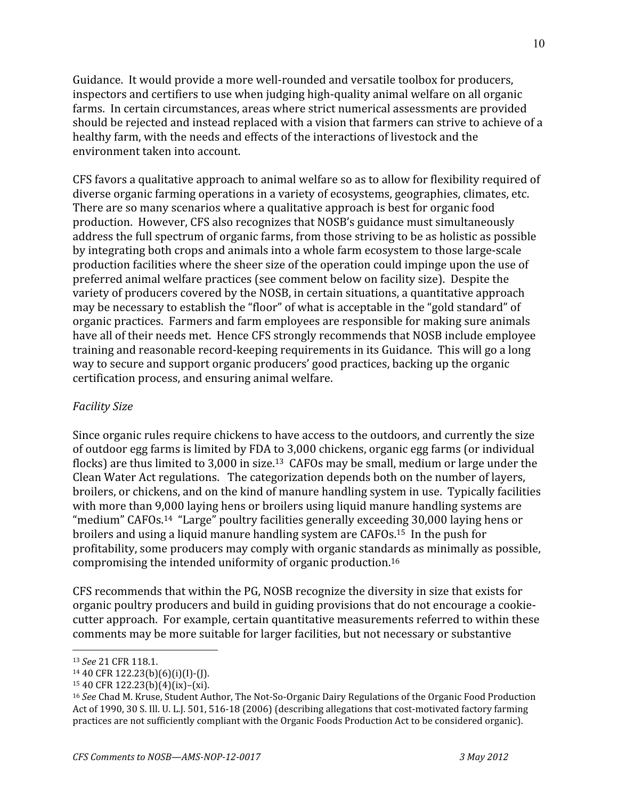Guidance. It would provide a more well-rounded and versatile toolbox for producers, inspectors and certifiers to use when judging high-quality animal welfare on all organic farms. In
certain
circumstances,
areas
where
strict
numerical
assessments
are
provided should be rejected and instead replaced with a vision that farmers can strive to achieve of a healthy farm, with the needs and effects of the interactions of livestock and the environment
taken
into
account.

CFS
favors
a
qualitative
approach
to
animal
welfare
so
as
to
allow
for
flexibility
required
of diverse organic farming operations in a variety of ecosystems, geographies, climates, etc. There
are
so
many
scenarios
where
a
qualitative
approach
is
best
for
organic
food production.

However,
CFS
also
recognizes
that
NOSB's
guidance
must
simultaneously address
the
full
spectrum
of
organic
farms,
from
those
striving
to
be
as
holistic
as
possible by
integrating
both
crops
and
animals
into
a
whole
farm
ecosystem
to
those
large‐scale production
facilities
where
the
sheer
size
of
the
operation
could
impinge
upon
the
use
of preferred
animal
welfare
practices
(see
comment
below
on
facility
size).

Despite
the variety of producers covered by the NOSB, in certain situations, a quantitative approach may be necessary to establish the "floor" of what is acceptable in the "gold standard" of organic
practices.

Farmers
and
farm
employees
are
responsible
for
making
sure
animals have all of their needs met. Hence CFS strongly recommends that NOSB include employee training
and
reasonable
record‐keeping
requirements
in
its
Guidance.

This
will
go
a
long way to secure and support organic producers' good practices, backing up the organic certification
process,
and
ensuring
animal
welfare.

# *Facility Size*

Since organic rules require chickens to have access to the outdoors, and currently the size of
outdoor
egg
farms
is
limited
by
FDA
to
3,000
chickens,
organic
egg
farms
(or
individual flocks) are thus limited to 3,000 in size.<sup>13</sup> CAFOs may be small, medium or large under the Clean
Water
Act
regulations.

The
categorization
depends
both
on
the
number
of
layers, broilers,
or
chickens,
and
on
the
kind
of
manure
handling
system
in
use.

Typically
facilities with more than 9,000 laying hens or broilers using liquid manure handling systems are "medium" CAFOs.<sup>14</sup> "Large" poultry facilities generally exceeding 30,000 laying hens or broilers
and
using
a
liquid
manure
handling
system
are
CAFOs.15

In
the
push
for profitability,
some
producers
may
comply
with
organic
standards
as
minimally
as
possible, compromising
the
intended
uniformity
of
organic
production.16

CFS
recommends
that
within
the
PG,
NOSB
recognize
the
diversity
in
size
that
exists
for organic
poultry
producers
and
build
in
guiding
provisions
that
do
not
encourage
a
cookie‐ cutter
approach.

For
example,
certain
quantitative
measurements
referred
to
within
these comments
may
be
more
suitable
for
larger
facilities,
but
not
necessary
or
substantive

<sup>13</sup> *See* 21
CFR
118.1.

 $14$  40 CFR 122.23(b)(6)(i)(I)-(I).

<sup>15
40</sup>CFR
122.23(b)(4)(ix)–(xi).

<sup>&</sup>lt;sup>16</sup> See Chad M. Kruse, Student Author, The Not-So-Organic Dairy Regulations of the Organic Food Production Act of 1990, 30 S. Ill. U. L. I. 501, 516-18 (2006) (describing allegations that cost-motivated factory farming practices are not sufficiently compliant with the Organic Foods Production Act to be considered organic).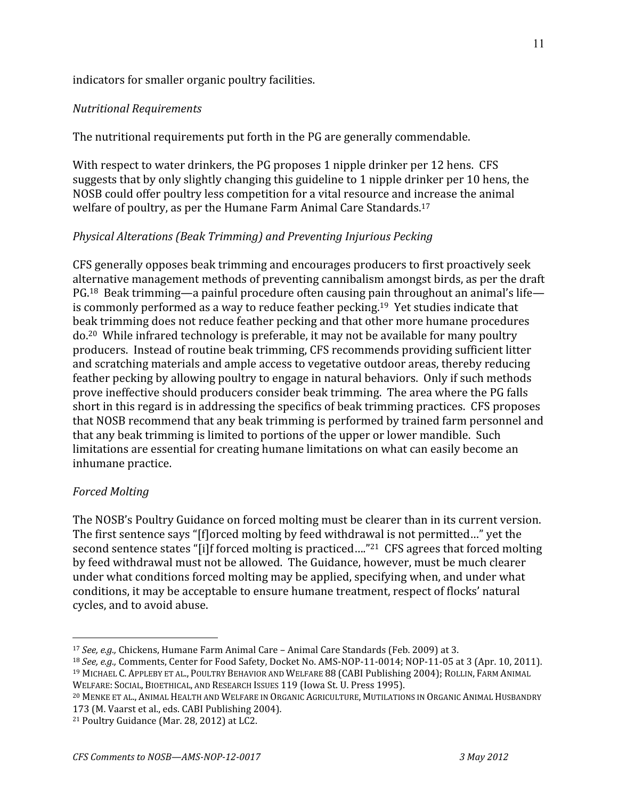#### indicators
for
smaller
organic
poultry
facilities.

#### *Nutritional Requirements*

The nutritional requirements put forth in the PG are generally commendable.

With respect to water drinkers, the PG proposes 1 nipple drinker per 12 hens. CFS suggests that by only slightly changing this guideline to 1 nipple drinker per 10 hens, the NOSB could offer poultry less competition for a vital resource and increase the animal welfare of poultry, as per the Humane Farm Animal Care Standards.<sup>17</sup>

## *Physical Alterations (Beak Trimming) and Preventing Injurious Pecking*

CFS
generally
opposes
beak
trimming
and
encourages
producers
to
first
proactively
seek alternative
management
methods
of
preventing
cannibalism
amongst
birds,
as
per
the
draft PG.<sup>18</sup> Beak trimming—a painful procedure often causing pain throughout an animal's life is
commonly
performed
as
a
way
to
reduce
feather
pecking.19

Yet
studies
indicate
that beak
trimming
does
not
reduce
feather
pecking
and
that
other
more
humane
procedures do.20

While
infrared
technology
is
preferable,
it
may
not
be
available
for
many
poultry producers.

Instead
of
routine
beak
trimming,
CFS
recommends
providing
sufficient
litter and
scratching
materials
and
ample
access
to
vegetative
outdoor
areas,
thereby
reducing feather pecking by allowing poultry to engage in natural behaviors. Only if such methods prove
ineffective
should
producers
consider
beak
trimming.

The
area
where
the
PG
falls short in this regard is in addressing the specifics of beak trimming practices. CFS proposes that
NOSB
recommend
that
any
beak
trimming
is
performed
by
trained
farm
personnel
and that
any
beak
trimming
is
limited
to
portions
of
the
upper
or
lower
mandible.

Such limitations are essential for creating humane limitations on what can easily become an inhumane
practice.

#### *Forced Molting*

 $\overline{a}$ 

The NOSB's Poultry Guidance on forced molting must be clearer than in its current version. The first sentence says "[f]orced molting by feed withdrawal is not permitted..." yet the second sentence states "[i]f forced molting is practiced...."<sup>21</sup> CFS agrees that forced molting by
feed
withdrawal
must
not
be
allowed.

The
Guidance,
however,
must
be
much
clearer under
what
conditions
forced
molting
may
be
applied,
specifying
when,
and
under
what conditions,
it
may
be
acceptable
to
ensure
humane
treatment,
respect
of
flocks'
natural cycles,
and
to
avoid
abuse.

<sup>&</sup>lt;sup>17</sup> *See, e.g.*, Chickens, Humane Farm Animal Care - Animal Care Standards (Feb. 2009) at 3.

<sup>&</sup>lt;sup>18</sup> See, e.g., Comments, Center for Food Safety, Docket No. AMS-NOP-11-0014; NOP-11-05 at 3 (Apr. 10, 2011). <sup>19</sup> MICHAEL C. APPLEBY ET AL., POULTRY BEHAVIOR AND WELFARE 88 (CABI Publishing 2004); ROLLIN, FARM ANIMAL WELFARE: SOCIAL, BIOETHICAL, AND RESEARCH ISSUES 119 (Iowa St. U. Press 1995).

<sup>&</sup>lt;sup>20</sup> MENKE ET AL., ANIMAL HEALTH AND WELFARE IN ORGANIC AGRICULTURE, MUTILATIONS IN ORGANIC ANIMAL HUSBANDRY 173
(M.
Vaarst
et
al.,
eds.
CABI
Publishing
2004).

<sup>21</sup>Poultry
Guidance
(Mar.
28,
2012)
at
LC2.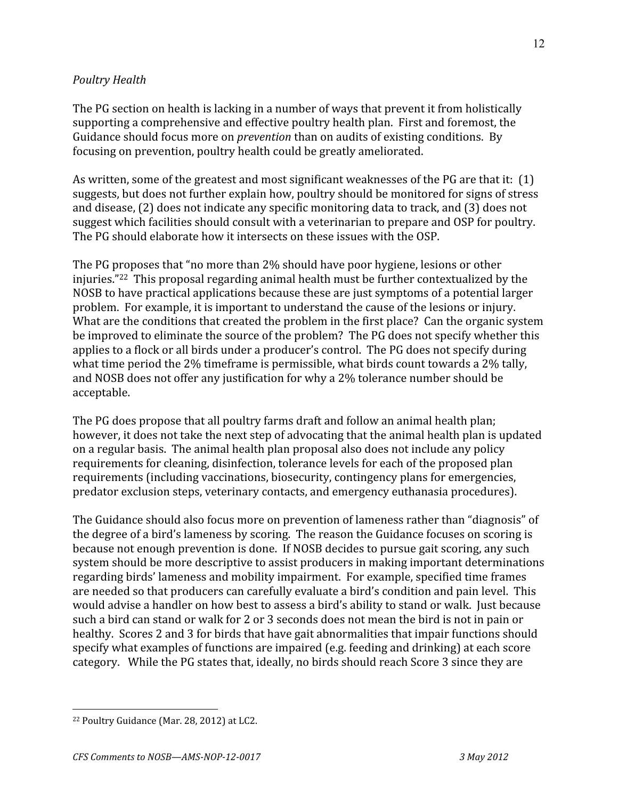## *Poultry Health*

The
PG
section
on
health
is
lacking
in
a
number
of
ways
that
prevent
it
from
holistically supporting
a
comprehensive
and
effective
poultry
health
plan.

First
and
foremost,
the Guidance should focus more on *prevention* than on audits of existing conditions. By focusing
on
prevention,
poultry
health
could
be
greatly
ameliorated.

As written, some of the greatest and most significant weaknesses of the PG are that it: (1) suggests,
but
does
not
further
explain
how,
poultry
should
be
monitored
for
signs
of
stress and
disease,
(2)
does
not
indicate
any
specific
monitoring
data
to
track,
and
(3)
does
not suggest
which
facilities
should
consult
with
a
veterinarian
to
prepare
and
OSP
for
poultry. The
PG
should
elaborate
how
it
intersects
on
these
issues
with
the
OSP.

The PG proposes that "no more than 2% should have poor hygiene, lesions or other injuries."22

This
proposal
regarding
animal
health
must
be
further
contextualized
by
the NOSB
to
have
practical
applications
because
these
are
just
symptoms
of
a
potential
larger problem.

For
example,
it
is
important
to
understand
the
cause
of
the
lesions
or
injury. What are the conditions that created the problem in the first place? Can the organic system be improved to eliminate the source of the problem? The PG does not specify whether this applies
to
a
flock
or
all
birds
under
a
producer's
control.

The
PG
does
not
specify
during what time period the 2% timeframe is permissible, what birds count towards a 2% tally, and
NOSB
does
not
offer
any
justification
for
why
a
2%
tolerance
number
should
be acceptable.

The
PG
does
propose
that
all
poultry
farms
draft
and
follow
an
animal
health
plan; however, it does not take the next step of advocating that the animal health plan is updated on
a
regular
basis.

The
animal
health
plan
proposal
also
does
not
include
any
policy requirements
for
cleaning,
disinfection,
tolerance
levels
for
each
of
the
proposed
plan requirements
(including
vaccinations,
biosecurity,
contingency
plans
for
emergencies, predator
exclusion
steps,
veterinary
contacts,
and
emergency
euthanasia
procedures).

The
Guidance
should
also
focus
more
on
prevention
of
lameness
rather
than
"diagnosis"
of the
degree
of
a
bird's
lameness
by
scoring.

The
reason
the
Guidance
focuses
on
scoring
is because
not
enough
prevention
is
done.

If
NOSB
decides
to
pursue
gait
scoring,
any
such system
should
be
more
descriptive
to
assist
producers
in
making
important
determinations regarding
birds'
lameness
and
mobility
impairment.

For
example,
specified
time
frames are
needed
so
that
producers
can
carefully
evaluate
a
bird's
condition
and
pain
level.

This would advise a handler on how best to assess a bird's ability to stand or walk. Just because such a bird can stand or walk for 2 or 3 seconds does not mean the bird is not in pain or healthy. Scores 2 and 3 for birds that have gait abnormalities that impair functions should specify
what
examples
of
functions
are
impaired
(e.g.
feeding
and
drinking)
at
each
score category. While the PG states that, ideally, no birds should reach Score 3 since they are

<sup>22</sup>Poultry
Guidance
(Mar.
28,
2012)
at
LC2.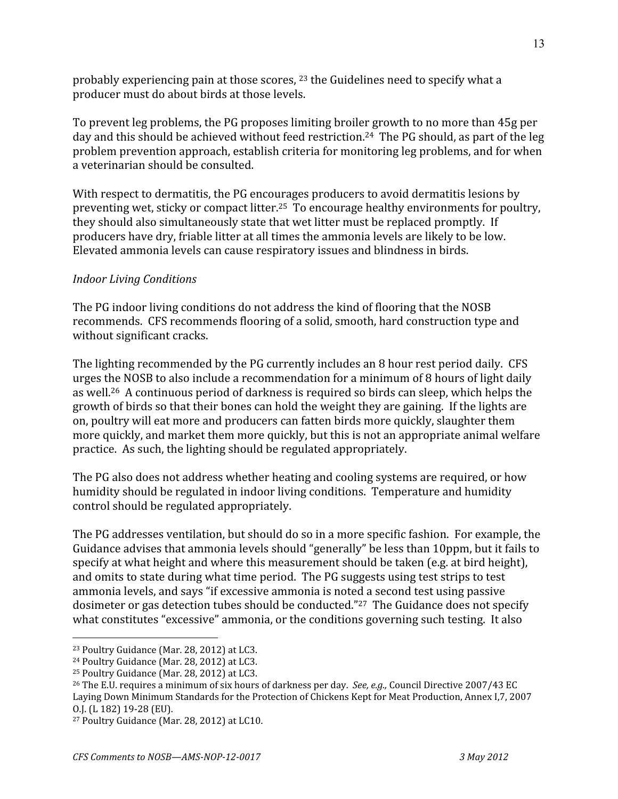probably experiencing pain at those scores, <sup>23</sup> the Guidelines need to specify what a producer
must
do
about
birds
at
those
levels.

To prevent leg problems, the PG proposes limiting broiler growth to no more than 45g per day and this should be achieved without feed restriction.<sup>24</sup> The PG should, as part of the leg problem
prevention
approach,
establish
criteria
for
monitoring
leg
problems,
and
for
when a
veterinarian
should
be
consulted.

With respect to dermatitis, the PG encourages producers to avoid dermatitis lesions by preventing wet, sticky or compact litter.<sup>25</sup> To encourage healthy environments for poultry, they
should
also
simultaneously
state
that
wet
litter
must
be
replaced
promptly.

If producers
have
dry,
friable
litter
at
all
times
the
ammonia
levels
are
likely
to
be
low. Elevated ammonia levels can cause respiratory issues and blindness in birds.

## *Indoor Living Conditions*

The
PG
indoor
living
conditions
do
not
address
the
kind
of
flooring
that
the
NOSB recommends.

CFS
recommends
flooring
of
a
solid,
smooth,
hard
construction
type
and without
significant
cracks.

The lighting recommended by the PG currently includes an 8 hour rest period daily. CFS urges
the
NOSB
to
also
include
a
recommendation
for
a
minimum
of
8
hours
of
light
daily as
well.26

A
continuous
period
of
darkness
is
required
so
birds
can
sleep,
which
helps
the growth of birds so that their bones can hold the weight they are gaining. If the lights are on,
poultry
will
eat
more
and
producers
can
fatten
birds
more
quickly,
slaughter
them more quickly, and market them more quickly, but this is not an appropriate animal welfare practice.

As
such,
the
lighting
should
be
regulated
appropriately.

The
PG
also
does
not
address
whether
heating
and
cooling
systems
are
required,
or
how humidity should be regulated in indoor living conditions. Temperature and humidity control
should
be
regulated
appropriately.

The PG addresses ventilation, but should do so in a more specific fashion. For example, the Guidance advises that ammonia levels should "generally" be less than 10ppm, but it fails to specify at what height and where this measurement should be taken (e.g. at bird height), and
omits
to
state
during
what
time
period.

The
PG
suggests
using
test
strips
to
test ammonia levels, and says "if excessive ammonia is noted a second test using passive dosimeter
or
gas
detection
tubes
should
be
conducted."27

The
Guidance
does
not
specify what constitutes "excessive" ammonia, or the conditions governing such testing. It also

 $\overline{a}$ 23
Poultry
Guidance
(Mar.
28,
2012)
at
LC3.

<sup>24</sup>Poultry
Guidance
(Mar.
28,
2012)
at
LC3.

<sup>25</sup>Poultry
Guidance
(Mar.
28,
2012)
at
LC3.

<sup>&</sup>lt;sup>26</sup> The E.U. requires a minimum of six hours of darkness per day. *See, e.g.*, Council Directive 2007/43 EC Laying
Down
Minimum
Standards
for
the
Protection
of
Chickens
Kept
for
Meat
Production,
Annex
I,7,
2007 O.J.
(L
182)
19‐28
(EU).

<sup>27</sup>Poultry
Guidance
(Mar.
28,
2012)
at
LC10.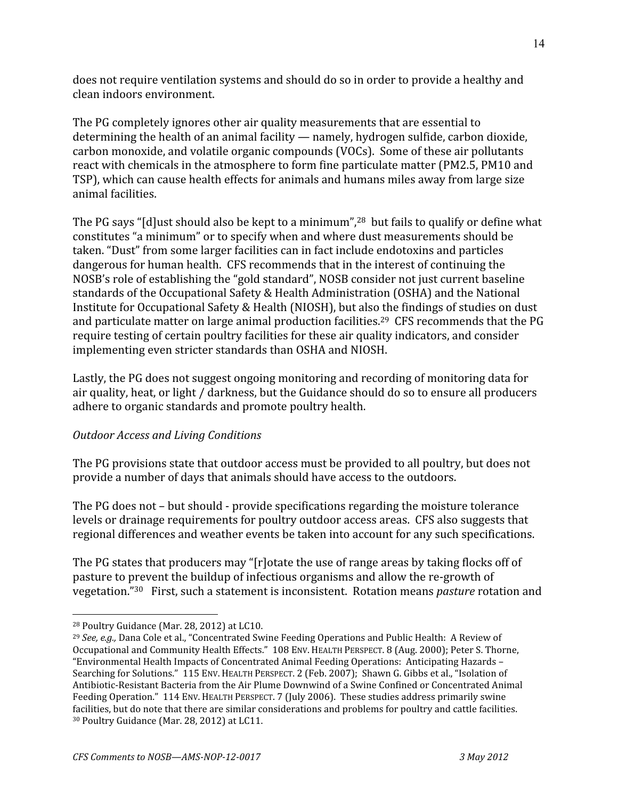does
not
require
ventilation
systems
and
should
do
so
in
order
to
provide
a
healthy
and clean
indoors
environment.

The
PG
completely
ignores
other
air
quality
measurements
that
are
essential
to determining the health of an animal facility - namely, hydrogen sulfide, carbon dioxide, carbon
monoxide,
and
volatile
organic
compounds
(VOCs).

Some
of
these
air
pollutants react with chemicals in the atmosphere to form fine particulate matter (PM2.5, PM10 and TSP),
which
can
cause
health
effects
for
animals
and
humans
miles
away
from
large
size animal
facilities.

The PG says "[d] ust should also be kept to a minimum",<sup>28</sup> but fails to qualify or define what constitutes
"a
minimum"
or
to
specify
when
and
where
dust
measurements
should
be taken.
"Dust"
from
some
larger
facilities
can
in
fact
include
endotoxins
and
particles dangerous
for
human
health.

CFS
recommends
that
in
the
interest
of
continuing
the NOSB's
role
of
establishing
the
"gold
standard",
NOSB
consider
not
just
current
baseline standards
of
the
Occupational
Safety
&
Health
Administration
(OSHA)
and
the
National Institute for Occupational Safety & Health (NIOSH), but also the findings of studies on dust and particulate matter on large animal production facilities.<sup>29</sup> CFS recommends that the PG require
testing
of
certain
poultry
facilities
for
these
air
quality
indicators,
and
consider implementing
even
stricter
standards
than
OSHA
and
NIOSH.

Lastly, the PG does not suggest ongoing monitoring and recording of monitoring data for air
quality,
heat,
or
light
/
darkness,
but
the
Guidance
should
do
so
to
ensure
all
producers adhere
to
organic
standards
and
promote
poultry
health.

# *Outdoor Access and Living Conditions*

The PG provisions state that outdoor access must be provided to all poultry, but does not provide a number of days that animals should have access to the outdoors.

The
PG
does
not
–
but
should
‐
provide
specifications
regarding
the
moisture
tolerance levels or drainage requirements for poultry outdoor access areas. CFS also suggests that regional
differences
and
weather
events
be
taken
into
account
for
any
such
specifications.

The PG states that producers may "[r]otate the use of range areas by taking flocks off of pasture
to
prevent
the
buildup
of
infectious
organisms
and
allow
the
re‐growth
of vegetation."30

First,
such
a
statement
is
inconsistent.

Rotation
means *pasture* rotation
and

 $\overline{a}$ 28
Poultry
Guidance
(Mar.
28,
2012)
at
LC10.

<sup>&</sup>lt;sup>29</sup> *See, e.g.*, Dana Cole et al., "Concentrated Swine Feeding Operations and Public Health: A Review of Occupational and Community Health Effects." 108 ENV. HEALTH PERSPECT. 8 (Aug. 2000); Peter S. Thorne, "Environmental
Health
Impacts
of
Concentrated
Animal
Feeding
Operations:

Anticipating
Hazards
– Searching for Solutions." 115 ENV. HEALTH PERSPECT. 2 (Feb. 2007): Shawn G. Gibbs et al., "Isolation of Antibiotic-Resistant Bacteria from the Air Plume Downwind of a Swine Confined or Concentrated Animal Feeding Operation." 114 ENV. HEALTH PERSPECT. 7 (July 2006). These studies address primarily swine facilities, but do note that there are similar considerations and problems for poultry and cattle facilities. <sup>30</sup> Poultry Guidance (Mar. 28, 2012) at LC11.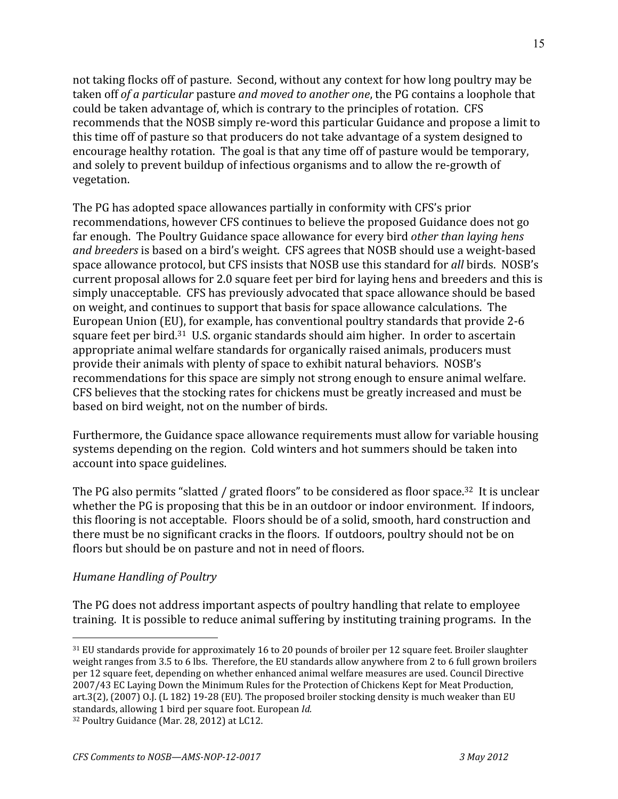not
taking
flocks
off
of
pasture.

Second,
without
any
context
for
how
long
poultry
may
be taken off of a particular pasture and moved to another one, the PG contains a loophole that could
be
taken
advantage
of,
which
is
contrary
to
the
principles
of
rotation.

CFS recommends that the NOSB simply re-word this particular Guidance and propose a limit to this
time
off
of
pasture
so
that
producers
do
not
take
advantage
of
a
system
designed
to encourage healthy rotation. The goal is that any time off of pasture would be temporary, and
solely
to
prevent
buildup
of
infectious
organisms
and
to
allow
the
re‐growth
of vegetation.

The
PG
has
adopted
space
allowances
partially
in
conformity
with
CFS's
prior recommendations,
however
CFS
continues
to
believe
the
proposed
Guidance
does
not
go far
enough.

The
Poultry
Guidance
space
allowance
for
every
bird *other than laying hens*  and breeders is based on a bird's weight. CFS agrees that NOSB should use a weight-based space allowance protocol, but CFS insists that NOSB use this standard for *all* birds. NOSB's current
proposal
allows
for
2.0
square
feet
per
bird
for
laying
hens
and
breeders
and
this
is simply
unacceptable.

CFS
has
previously
advocated
that
space
allowance
should
be
based on
weight,
and
continues
to
support
that
basis
for
space
allowance
calculations.

The European
Union
(EU),
for
example,
has
conventional
poultry
standards
that
provide
2‐6 square feet per bird.<sup>31</sup> U.S. organic standards should aim higher. In order to ascertain appropriate
animal
welfare
standards
for
organically
raised
animals,
producers
must provide
their
animals
with
plenty
of
space
to
exhibit
natural
behaviors.

NOSB's recommendations for this space are simply not strong enough to ensure animal welfare. CFS
believes
that
the
stocking
rates
for
chickens
must
be
greatly
increased
and
must
be based
on
bird
weight,
not
on
the
number
of
birds.

Furthermore, the Guidance space allowance requirements must allow for variable housing systems
depending
on
the
region.

Cold
winters
and
hot
summers
should
be
taken
into account
into
space
guidelines.

The PG also permits "slatted / grated floors" to be considered as floor space.<sup>32</sup> It is unclear whether the PG is proposing that this be in an outdoor or indoor environment. If indoors, this
flooring
is
not
acceptable.

Floors
should
be
of
a
solid,
smooth,
hard
construction
and there must be no significant cracks in the floors. If outdoors, poultry should not be on floors but should be on pasture and not in need of floors.

# *Humane Handling of Poultry*

The
PG
does
not
address
important
aspects
of
poultry
handling
that
relate
to
employee training. It is possible to reduce animal suffering by instituting training programs. In the

 $\overline{a}$ <sup>31</sup> EU standards provide for approximately 16 to 20 pounds of broiler per 12 square feet. Broiler slaughter weight ranges from 3.5 to 6 lbs. Therefore, the EU standards allow anywhere from 2 to 6 full grown broilers per
12
square
feet,
depending
on
whether
enhanced
animal
welfare
measures
are
used.
Council
Directive 2007/43
EC
Laying
Down
the
Minimum
Rules
for
the
Protection
of
Chickens
Kept
for
Meat
Production, art.3(2), (2007) O.J. (L 182) 19-28 (EU). The proposed broiler stocking density is much weaker than EU standards,
allowing
1
bird
per
square
foot.
European *Id.*

<sup>&</sup>lt;sup>32</sup> Poultry Guidance (Mar. 28, 2012) at LC12.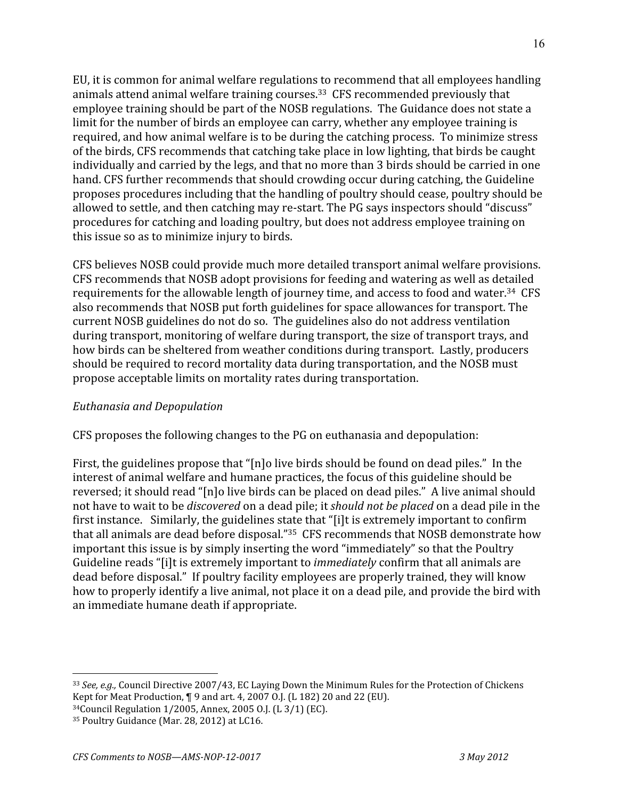EU,
it
is
common
for
animal
welfare
regulations
to
recommend
that
all
employees
handling animals
attend
animal
welfare
training
courses.33

CFS
recommended
previously
that employee training should be part of the NOSB regulations. The Guidance does not state a limit for the number of birds an employee can carry, whether any employee training is required, and how animal welfare is to be during the catching process. To minimize stress of
the
birds,
CFS
recommends
that
catching
take
place
in
low
lighting,
that
birds
be
caught individually
and
carried
by
the
legs,
and
that
no
more
than
3
birds
should
be
carried
in
one hand. CFS further recommends that should crowding occur during catching, the Guideline proposes
procedures
including
that
the
handling
of
poultry
should
cease,
poultry
should
be allowed to settle, and then catching may re-start. The PG says inspectors should "discuss" procedures
for
catching
and
loading
poultry,
but
does
not
address
employee
training
on this
issue
so
as
to
minimize
injury
to
birds.

CFS
believes
NOSB
could
provide
much
more
detailed
transport
animal
welfare
provisions. CFS
recommends
that
NOSB
adopt
provisions
for
feeding
and
watering
as
well
as
detailed requirements for the allowable length of journey time, and access to food and water.<sup>34</sup> CFS also
recommends
that
NOSB
put
forth
guidelines
for
space
allowances
for
transport.
The current
NOSB
guidelines
do
not
do
so.

The
guidelines
also
do
not
address
ventilation during transport, monitoring of welfare during transport, the size of transport trays, and how birds can be sheltered from weather conditions during transport. Lastly, producers should be required to record mortality data during transportation, and the NOSB must propose
acceptable
limits
on
mortality
rates
during
transportation.

## *Euthanasia and Depopulation*

CFS
proposes
the
following
changes
to
the
PG
on
euthanasia
and
depopulation:

First, the guidelines propose that "[n]o live birds should be found on dead piles." In the interest
of
animal
welfare
and
humane
practices,
the
focus
of
this
guideline
should
be reversed; it should read "[n]o live birds can be placed on dead piles." A live animal should not have to wait to be *discovered* on a dead pile; it *should not be placed* on a dead pile in the first instance. Similarly, the guidelines state that "[i]t is extremely important to confirm that all animals are dead before disposal."<sup>35</sup> CFS recommends that NOSB demonstrate how important this issue is by simply inserting the word "immediately" so that the Poultry Guideline reads "[i]t is extremely important to *immediately* confirm that all animals are dead
before
disposal."

If
poultry
facility
employees
are
properly
trained,
they
will
know how to properly identify a live animal, not place it on a dead pile, and provide the bird with an
immediate
humane
death
if
appropriate.

<sup>&</sup>lt;sup>33</sup> See, e.g., Council Directive 2007/43, EC Laying Down the Minimum Rules for the Protection of Chickens Kept for Meat Production, ¶ 9 and art. 4, 2007 0.J. (L 182) 20 and 22 (EU). 34Council
Regulation
1/2005,
Annex,
2005
O.J.
(L
3/1)
(EC).

<sup>&</sup>lt;sup>35</sup> Poultry Guidance (Mar. 28, 2012) at LC16.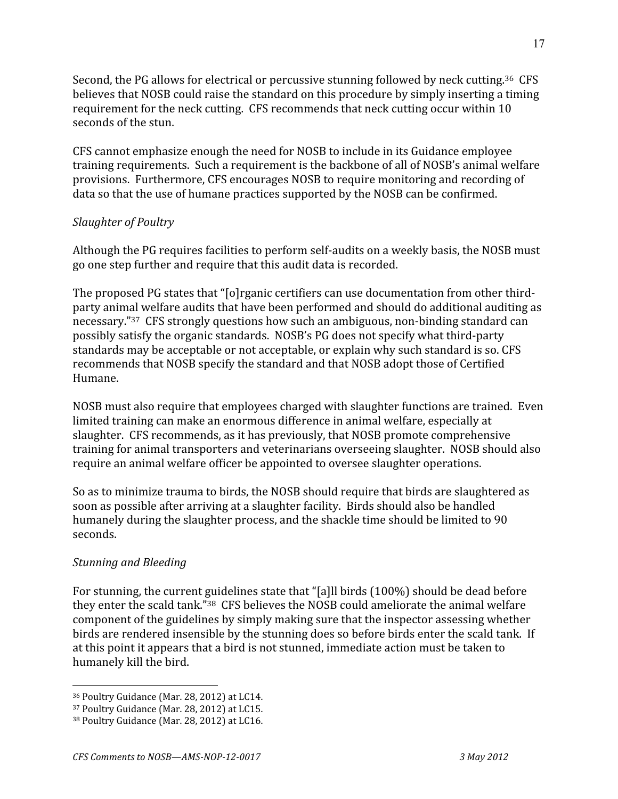Second, the PG allows for electrical or percussive stunning followed by neck cutting.<sup>36</sup> CFS believes that NOSB could raise the standard on this procedure by simply inserting a timing requirement for the neck cutting. CFS recommends that neck cutting occur within 10 seconds
of
the
stun.

CFS
cannot
emphasize
enough
the
need
for
NOSB
to
include
in
its
Guidance
employee training
requirements.

Such
a
requirement
is
the
backbone
of
all
of
NOSB's
animal
welfare provisions.

Furthermore,
CFS
encourages
NOSB
to
require
monitoring
and
recording
of data
so
that
the
use
of
humane
practices
supported
by
the
NOSB
can
be
confirmed.

# *Slaughter of Poultry*

Although the
PG
requires
facilities
to
perform
self‐audits
on
a
weekly
basis,
the
NOSB
must go
one
step
further
and
require
that
this
audit
data
is
recorded.

The proposed PG states that "[o]rganic certifiers can use documentation from other thirdparty
animal
welfare
audits
that
have
been
performed
and
should
do
additional
auditing
as necessary."37

CFS
strongly
questions
how
such
an
ambiguous,
non‐binding
standard
can possibly
satisfy
the
organic
standards.

NOSB's
PG
does
not
specify
what
third‐party standards may be acceptable or not acceptable, or explain why such standard is so. CFS recommends
that
NOSB
specify
the
standard
and
that
NOSB
adopt
those
of
Certified Humane.

NOSB must also require that employees charged with slaughter functions are trained. Even limited
training
can
make
an
enormous
difference
in
animal
welfare,
especially
at slaughter.

CFS
recommends,
as
it
has
previously,
that
NOSB
promote
comprehensive training for animal transporters and veterinarians overseeing slaughter. NOSB should also require
an
animal
welfare
officer
be
appointed
to
oversee
slaughter
operations.

So
as
to
minimize
trauma
to
birds,
the
NOSB
should
require
that
birds
are
slaughtered
as soon
as
possible
after
arriving
at
a
slaughter
facility.

Birds
should
also
be
handled humanely during the slaughter process, and the shackle time should be limited to 90 seconds.

## *Stunning and Bleeding*

 $\overline{a}$ 

For stunning, the current guidelines state that "[a]ll birds (100%) should be dead before they enter the scald tank."<sup>38</sup> CFS believes the NOSB could ameliorate the animal welfare component
of
the
guidelines
by
simply
making
sure
that
the
inspector
assessing
whether birds are rendered insensible by the stunning does so before birds enter the scald tank. If at
this
point
it
appears
that
a
bird
is
not
stunned,
immediate
action
must
be
taken
to humanely
kill
the
bird.

<sup>36</sup>Poultry
Guidance
(Mar.
28,
2012)
at
LC14.

<sup>37</sup>Poultry
Guidance
(Mar.
28,
2012)
at
LC15.

<sup>&</sup>lt;sup>38</sup> Poultry Guidance (Mar. 28, 2012) at LC16.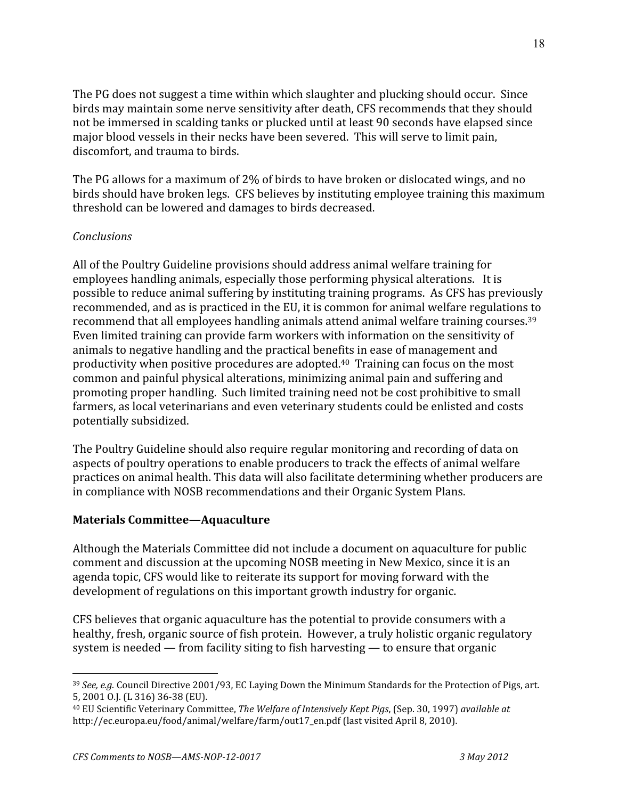The PG does not suggest a time within which slaughter and plucking should occur. Since birds
may
maintain
some
nerve
sensitivity
after
death,
CFS
recommends
that
they
should not
be
immersed
in
scalding
tanks
or
plucked
until
at
least
90
seconds
have
elapsed
since major blood vessels in their necks have been severed. This will serve to limit pain, discomfort,
and
trauma
to
birds.

The PG allows for a maximum of 2% of birds to have broken or dislocated wings, and no birds
should
have
broken
legs.

CFS
believes
by
instituting
employee
training
this
maximum threshold
can
be
lowered
and
damages
to
birds
decreased.

# *Conclusions*

All
of
the
Poultry
Guideline
provisions
should
address
animal
welfare
training
for employees handling animals, especially those performing physical alterations. It is possible
to
reduce
animal
suffering
by
instituting
training
programs.

As
CFS
has
previously recommended,
and
as
is
practiced
in
the
EU,
it
is
common
for
animal
welfare
regulations
to recommend that all employees handling animals attend animal welfare training courses.<sup>39</sup> Even
limited
training
can
provide
farm
workers
with
information
on
the
sensitivity
of animals
to
negative
handling
and
the
practical
benefits
in
ease
of
management
and productivity when positive procedures are adopted.<sup>40</sup> Training can focus on the most common
and
painful
physical
alterations,
minimizing
animal
pain
and
suffering
and promoting
proper
handling.

Such
limited
training
need
not
be
cost
prohibitive
to
small farmers, as local veterinarians and even veterinary students could be enlisted and costs potentially
subsidized.

The Poultry Guideline should also require regular monitoring and recording of data on aspects
of
poultry
operations
to
enable
producers
to
track
the
effects
of
animal
welfare practices
on
animal
health.
This
data
will
also
facilitate
determining
whether
producers
are in
compliance
with
NOSB
recommendations
and
their
Organic
System
Plans.

## **Materials Committee—Aquaculture**

Although the Materials Committee did not include a document on aquaculture for public comment
and
discussion
at
the
upcoming
NOSB
meeting
in
New
Mexico,
since
it
is
an agenda
topic,
CFS
would
like
to
reiterate
its
support
for
moving
forward
with
the development of regulations on this important growth industry for organic.

CFS
believes
that
organic
aquaculture
has
the
potential
to
provide
consumers
with
a healthy, fresh, organic source of fish protein. However, a truly holistic organic regulatory system
is
needed
—
from
facility
siting
to
fish
harvesting
—
to
ensure
that
organic

<sup>&</sup>lt;sup>39</sup> *See, e.g.* Council Directive 2001/93, EC Laying Down the Minimum Standards for the Protection of Pigs, art. 5,
2001
O.J.
(L
316)
36‐38
(EU).

<sup>40</sup>EU
Scientific
Veterinary
Committee, *The Welfare of Intensively Kept Pigs*,
(Sep.
30,
1997) *available at* http://ec.europa.eu/food/animal/welfare/farm/out17\_en.pdf (last visited April 8, 2010).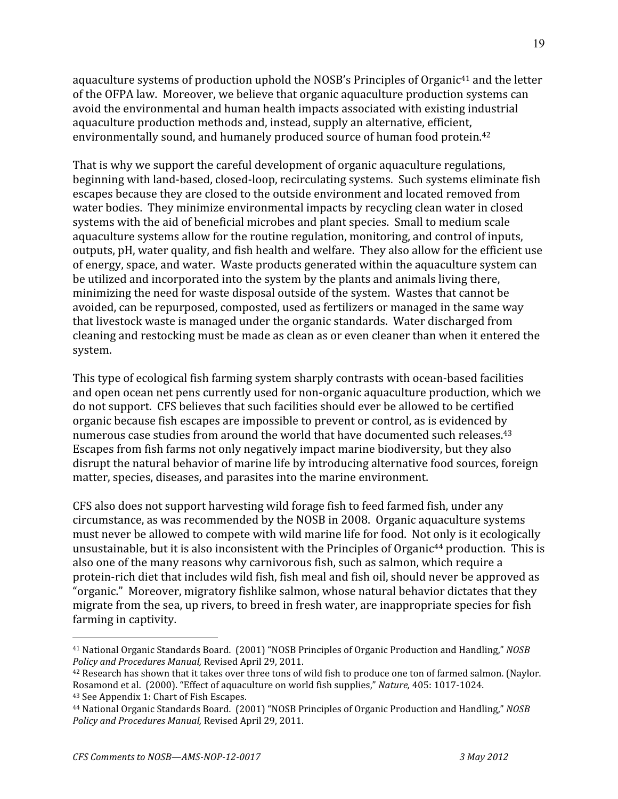aquaculture systems of production uphold the NOSB's Principles of Organic<sup>41</sup> and the letter of
the
OFPA
law.

Moreover,
we
believe
that
organic
aquaculture
production
systems
can avoid
the
environmental
and
human
health
impacts
associated
with
existing
industrial aquaculture
production
methods
and,
instead,
supply
an
alternative,
efficient, environmentally
sound,
and
humanely
produced
source
of
human
food
protein.42

That
is
why
we
support
the
careful
development
of
organic
aquaculture
regulations, beginning
with
land‐based,
closed‐loop,
recirculating
systems.

Such
systems
eliminate
fish escapes
because
they
are
closed
to
the
outside
environment
and
located
removed
from water bodies. They minimize environmental impacts by recycling clean water in closed systems with the aid of beneficial microbes and plant species. Small to medium scale aquaculture systems allow for the routine regulation, monitoring, and control of inputs, outputs, pH, water quality, and fish health and welfare. They also allow for the efficient use of
energy,
space,
and
water.

Waste
products
generated
within
the
aquaculture
system
can be
utilized
and
incorporated
into
the
system
by
the
plants
and
animals
living
there, minimizing
the
need
for
waste
disposal
outside
of
the
system.

Wastes
that
cannot
be avoided,
can
be
repurposed,
composted,
used
as
fertilizers
or
managed
in
the
same
way that
livestock
waste
is
managed
under
the
organic
standards.

Water
discharged
from cleaning
and
restocking
must
be
made
as
clean
as
or
even
cleaner
than
when
it
entered
the system.

This
type
of
ecological
fish
farming
system
sharply
contrasts
with
ocean‐based
facilities and
open
ocean
net
pens
currently
used
for
non‐organic
aquaculture
production,
which
we do
not
support.

CFS
believes
that
such
facilities
should
ever
be
allowed
to
be
certified organic
because
fish
escapes
are
impossible
to
prevent
or
control,
as
is
evidenced
by numerous case studies from around the world that have documented such releases.<sup>43</sup> Escapes
from
fish
farms
not
only
negatively
impact
marine
biodiversity,
but
they
also disrupt
the
natural
behavior
of
marine
life
by
introducing
alternative
food
sources,
foreign matter,
species,
diseases,
and
parasites
into
the
marine
environment.

CFS
also
does
not
support
harvesting
wild
forage
fish
to
feed
farmed
fish,
under
any circumstance,
as
was
recommended
by
the
NOSB
in
2008.

Organic
aquaculture
systems must
never
be
allowed
to
compete
with
wild
marine
life
for
food.

Not
only is
it
ecologically unsustainable, but it is also inconsistent with the Principles of Organic<sup>44</sup> production. This is also
one
of
the
many
reasons
why
carnivorous
fish,
such
as
salmon,
which
require
a protein‐rich
diet
that
includes
wild
fish,
fish
meal
and
fish
oil,
should
never
be
approved
as "organic."

Moreover,
migratory
fishlike
salmon,
whose
natural
behavior
dictates
that
they migrate
from
the
sea,
up
rivers,
to
breed
in
fresh
water,
are
inappropriate
species
for
fish farming
in
captivity.

 $\overline{a}$ <sup>41</sup> National
Organic
Standards
Board.

(2001)
"NOSB
Principles
of
Organic
Production
and
Handling," *NOSB Policy and Procedures Manual,*Revised
April
29,
2011.

<sup>&</sup>lt;sup>42</sup> Research has shown that it takes over three tons of wild fish to produce one ton of farmed salmon. (Naylor. Rosamond
et
al.

(2000).
"Effect
of
aquaculture
on
world
fish
supplies," *Nature,* 405:
1017‐1024. 43
See
Appendix
1:
Chart
of
Fish
Escapes.

<sup>44</sup> National
Organic
Standards
Board.

(2001)
"NOSB
Principles
of
Organic
Production
and
Handling," *NOSB Policy and Procedures Manual,*Revised
April
29,
2011.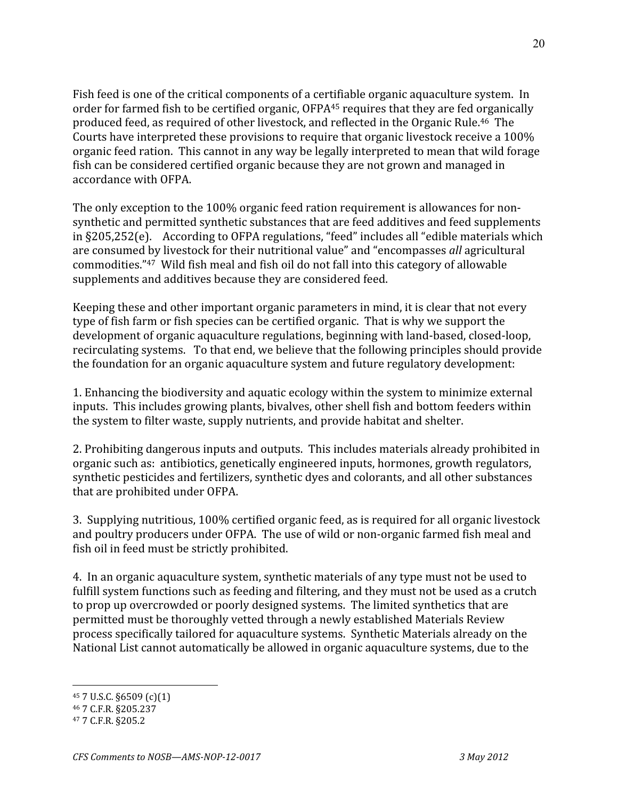Fish feed is one of the critical components of a certifiable organic aquaculture system. In order for farmed fish to be certified organic, OFPA<sup>45</sup> requires that they are fed organically produced
feed,
as
required
of
other
livestock,
and
reflected
in
the
Organic
Rule.46

The Courts have interpreted these provisions to require that organic livestock receive a 100% organic
feed
ration.

This
cannot
in
any
way
be
legally
interpreted
to
mean
that
wild
forage fish
can
be
considered
certified
organic
because
they
are
not
grown
and
managed
in accordance
with
OFPA.

The only exception to the 100% organic feed ration requirement is allowances for nonsynthetic and permitted synthetic substances that are feed additives and feed supplements in §205,252(e). According to OFPA regulations, "feed" includes all "edible materials which are
consumed
by
livestock
for
their
nutritional
value"
and
"encompasses *all*agricultural commodities."<sup>47</sup> Wild fish meal and fish oil do not fall into this category of allowable supplements
and
additives
because
they
are
considered
feed.

Keeping
these
and
other
important
organic
parameters
in
mind,
it
is
clear
that
not
every type
of
fish
farm
or
fish
species
can
be
certified
organic.

That
is
why
we
support
the development
of
organic
aquaculture
regulations,
beginning
with
land‐based,
closed‐loop, recirculating systems. To that end, we believe that the following principles should provide the
foundation
for
an
organic
aquaculture
system
and
future
regulatory
development:

1.
Enhancing
the
biodiversity
and
aquatic
ecology
within
the
system
to
minimize
external inputs.

This
includes
growing
plants,
bivalves,
other
shell
fish
and
bottom
feeders
within the
system
to
filter
waste,
supply
nutrients,
and
provide
habitat
and
shelter.

2. Prohibiting dangerous inputs and outputs. This includes materials already prohibited in organic
such
as:

antibiotics,
genetically
engineered
inputs,
hormones,
growth
regulators, synthetic
pesticides
and
fertilizers,
synthetic
dyes
and
colorants,
and
all
other
substances that
are
prohibited
under
OFPA.

3.

Supplying
nutritious,
100%
certified
organic
feed,
as
is
required
for
all
organic
livestock and poultry producers under OFPA. The use of wild or non-organic farmed fish meal and fish
oil
in
feed
must
be
strictly
prohibited.

4.

In
an
organic
aquaculture
system,
synthetic
materials
of
any
type
must
not
be
used
to fulfill system functions such as feeding and filtering, and they must not be used as a crutch to prop up overcrowded or poorly designed systems. The limited synthetics that are permitted
must
be
thoroughly
vetted
through
a
newly
established
Materials
Review process
specifically
tailored
for
aquaculture
systems.

Synthetic
Materials
already
on
the National List cannot automatically be allowed in organic aquaculture systems, due to the

<sup>45
7</sup>U.S.C.
§6509
(c)(1)

<sup>46
7</sup>C.F.R.
§205.237

<sup>47
7</sup>C.F.R.
§205.2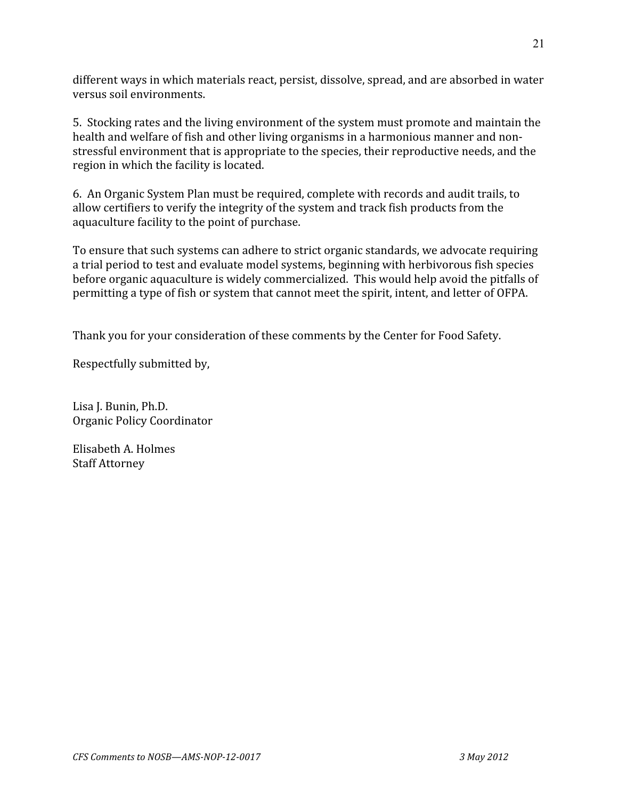different ways in which materials react, persist, dissolve, spread, and are absorbed in water versus
soil
environments.

5.

Stocking
rates
and
the
living
environment
of
the
system
must
promote
and
maintain
the health and welfare of fish and other living organisms in a harmonious manner and nonstressful
environment
that
is
appropriate
to
the
species,
their
reproductive
needs,
and
the region
in
which
the
facility
is
located.

6.

An
Organic
System
Plan
must
be
required,
complete
with
records
and
audit
trails,
to allow certifiers to verify the integrity of the system and track fish products from the aquaculture facility to the point of purchase.

To ensure that such systems can adhere to strict organic standards, we advocate requiring a trial period to test and evaluate model systems, beginning with herbivorous fish species before organic aquaculture is widely commercialized. This would help avoid the pitfalls of permitting
a
type
of
fish
or
system
that
cannot
meet
the
spirit,
intent,
and
letter
of
OFPA.

Thank
you
for
your
consideration
of
these
comments
by
the
Center
for
Food
Safety.

Respectfully
submitted
by,

Lisa
J.
Bunin,
Ph.D. Organic
Policy
Coordinator

Elisabeth
A.
Holmes Staff
Attorney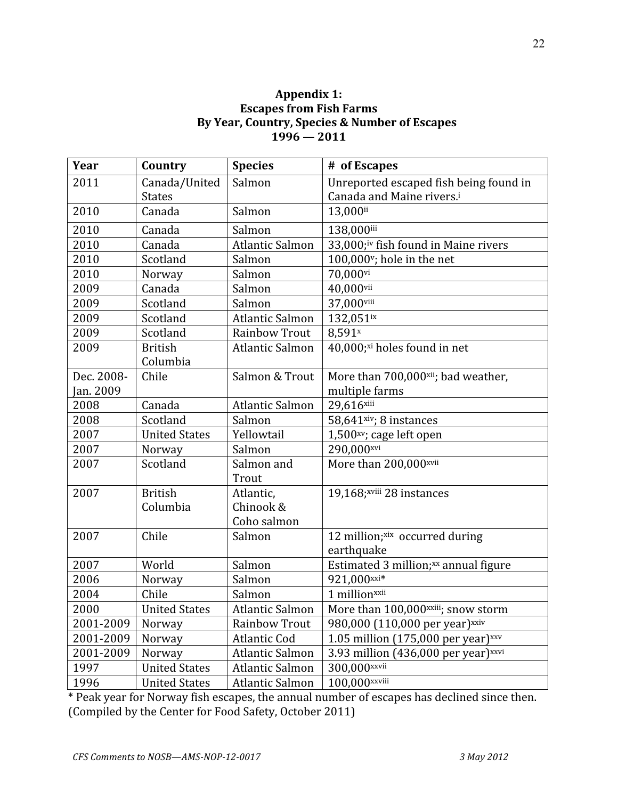## **Appendix 1: Escapes from Fish Farms By Year, Country, Species & Number of Escapes 1996 — 2011**

| Year       | Country              | <b>Species</b>         | # of Escapes                                      |
|------------|----------------------|------------------------|---------------------------------------------------|
| 2011       | Canada/United        | Salmon                 | Unreported escaped fish being found in            |
|            | <b>States</b>        |                        | Canada and Maine rivers. <sup>i</sup>             |
| 2010       | Canada               | Salmon                 | 13,000ii                                          |
| 2010       | Canada               | Salmon                 | 138,000iii                                        |
| 2010       | Canada               | <b>Atlantic Salmon</b> | 33,000;iv fish found in Maine rivers              |
| 2010       | Scotland             | Salmon                 | 100,000 <sup>v</sup> ; hole in the net            |
| 2010       | Norway               | Salmon                 | 70,000vi                                          |
| 2009       | Canada               | Salmon                 | 40,000vii                                         |
| 2009       | Scotland             | Salmon                 | 37,000viii                                        |
| 2009       | Scotland             | <b>Atlantic Salmon</b> | 132,051ix                                         |
| 2009       | Scotland             | <b>Rainbow Trout</b>   | 8,591 <sup>x</sup>                                |
| 2009       | <b>British</b>       | <b>Atlantic Salmon</b> | 40,000;xi holes found in net                      |
|            | Columbia             |                        |                                                   |
| Dec. 2008- | Chile                | Salmon & Trout         | More than 700,000xii; bad weather,                |
| Jan. 2009  |                      |                        | multiple farms                                    |
| 2008       | Canada               | <b>Atlantic Salmon</b> | 29,616xiii                                        |
| 2008       | Scotland             | Salmon                 | 58,641xiv; 8 instances                            |
| 2007       | <b>United States</b> | Yellowtail             | $1,500xy$ ; cage left open                        |
| 2007       | Norway               | Salmon                 | 290,000xvi                                        |
| 2007       | Scotland             | Salmon and             | More than 200,000xvii                             |
|            |                      | Trout                  |                                                   |
| 2007       | <b>British</b>       | Atlantic,              | 19,168;xviii 28 instances                         |
|            | Columbia             | Chinook &              |                                                   |
|            |                      | Coho salmon            |                                                   |
| 2007       | Chile                | Salmon                 | 12 million;xix occurred during                    |
|            |                      |                        | earthquake                                        |
| 2007       | World                | Salmon                 | Estimated 3 million;xx annual figure              |
| 2006       | Norway               | Salmon                 | 921,000xxi*                                       |
| 2004       | Chile                | Salmon                 | 1 millionxxii                                     |
| 2000       | <b>United States</b> | Atlantic Salmon        | More than 100,000xxiii; snow storm                |
| 2001-2009  | Norway               | Rainbow Trout          | 980,000 (110,000 per year) <sup>xxiv</sup>        |
| 2001-2009  | Norway               | Atlantic Cod           | 1.05 million (175,000 per year) $xxy$             |
| 2001-2009  | Norway               | Atlantic Salmon        | 3.93 million $(436,000$ per year) <sup>xxvi</sup> |
| 1997       | <b>United States</b> | Atlantic Salmon        | 300,000xxvii                                      |
| 1996       | <b>United States</b> | Atlantic Salmon        | 100,000xxviii                                     |

\* Peak year for Norway fish escapes, the annual number of escapes has declined since then. (Compiled
by
the
Center
for
Food
Safety,
October
2011)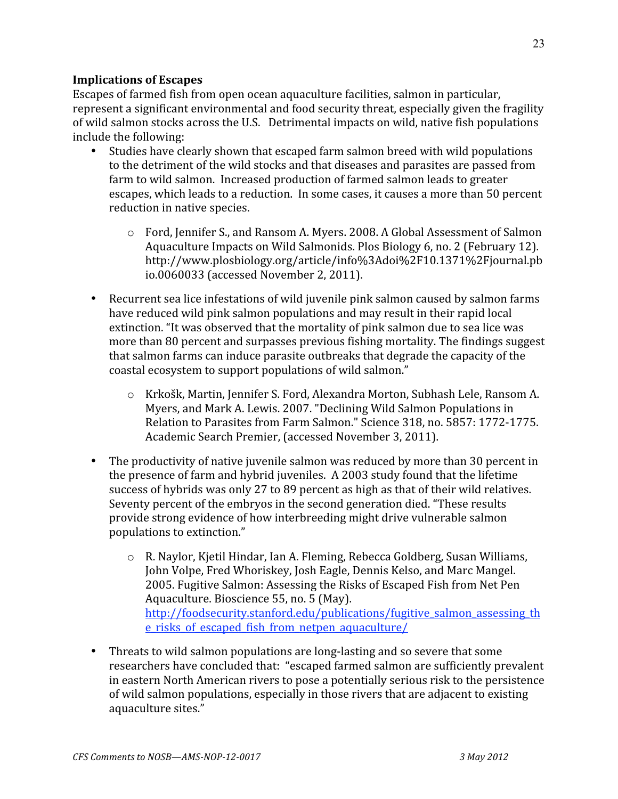## **Implications of Escapes**

Escapes
of
farmed
fish
from
open
ocean
aquaculture
facilities,
salmon
in
particular, represent
a
significant
environmental
and
food
security
threat,
especially
given
the
fragility of
wild
salmon
stocks
across
the
U.S.

Detrimental
impacts
on
wild,
native
fish
populations include
the
following:

- Studies have clearly shown that escaped farm salmon breed with wild populations to the detriment of the wild stocks and that diseases and parasites are passed from farm to wild salmon. Increased production of farmed salmon leads to greater escapes, which leads to a reduction. In some cases, it causes a more than 50 percent reduction
in
native
species.
	- o Ford,
	Jennifer
	S.,
	and
	Ransom
	A.
	Myers.
	2008.
	A
	Global
	Assessment
	of
	Salmon Aquaculture
	Impacts
	on
	Wild
	Salmonids.
	Plos
	Biology
	6,
	no.
	2
	(February
	12). http://www.plosbiology.org/article/info%3Adoi%2F10.1371%2Fjournal.pb io.0060033
	(accessed
	November
	2,
	2011).
- Recurrent sea lice infestations of wild juvenile pink salmon caused by salmon farms have reduced wild pink salmon populations and may result in their rapid local extinction. "It was observed that the mortality of pink salmon due to sea lice was more than 80 percent and surpasses previous fishing mortality. The findings suggest that
salmon
farms
can
induce
parasite
outbreaks
that
degrade
the
capacity
of
the coastal
ecosystem
to
support
populations
of
wild
salmon."
	- o Krkošk,
	Martin,
	Jennifer
	S.
	Ford,
	Alexandra
	Morton,
	Subhash
	Lele,
	Ransom
	A. Myers,
	and
	Mark
	A.
	Lewis.
	2007.
	"Declining
	Wild
	Salmon
	Populations
	in Relation
	to
	Parasites
	from
	Farm
	Salmon."
	Science
	318,
	no.
	5857:
	1772‐1775. Academic
	Search
	Premier,
	(accessed
	November
	3,
	2011).
- The productivity of native juvenile salmon was reduced by more than 30 percent in the
presence
of
farm
and
hybrid
juveniles.

A
2003
study
found
that
the
lifetime success of hybrids was only 27 to 89 percent as high as that of their wild relatives. Seventy percent of the embryos in the second generation died. "These results provide strong evidence of how interbreeding might drive vulnerable salmon populations
to
extinction."
	- o R.
	Naylor,
	Kjetil
	Hindar,
	Ian
	A.
	Fleming,
	Rebecca
	Goldberg,
	Susan
	Williams, John Volpe, Fred Whoriskey, Josh Eagle, Dennis Kelso, and Marc Mangel. 2005. Fugitive Salmon: Assessing the Risks of Escaped Fish from Net Pen Aquaculture.
	Bioscience
	55,
	no.
	5
	(May). http://foodsecurity.stanford.edu/publications/fugitive\_salmon\_assessing\_th e\_risks\_of\_escaped\_fish\_from\_netpen\_aquaculture/
- Threats to wild salmon populations are long-lasting and so severe that some researchers
have
concluded
that:

"escaped
farmed
salmon
are
sufficiently
prevalent in
eastern
North
American
rivers
to
pose
a
potentially
serious
risk
to
the
persistence of
wild
salmon
populations,
especially
in
those
rivers
that
are
adjacent
to
existing aquaculture
sites."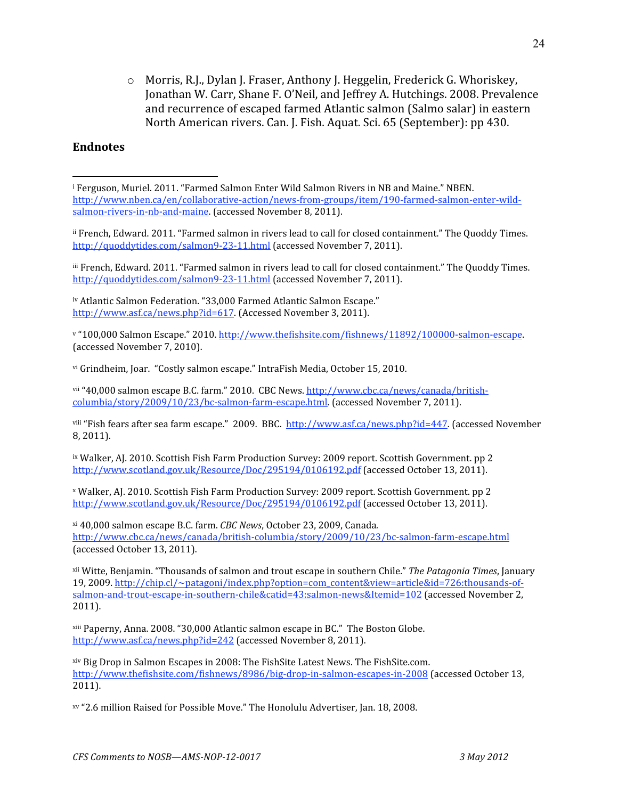o Morris,
R.J.,
Dylan
J.
Fraser,
Anthony
J.
Heggelin,
Frederick
G.
Whoriskey, Jonathan
W.
Carr,
Shane
F.
O'Neil,
and
Jeffrey
A.
Hutchings.
2008.
Prevalence and
recurrence
of
escaped
farmed
Atlantic
salmon
(Salmo
salar)
in
eastern North
American
rivers.
Can.
J.
Fish.
Aquat.
Sci.
65
(September):
pp
430.

#### **Endnotes**

 $\overline{a}$ 

<sup>ii</sup> French, Edward. 2011. "Farmed salmon in rivers lead to call for closed containment." The Quoddy Times. http://quoddytides.com/salmon9-23-11.html (accessed November 7, 2011).

<sup>iii</sup> French, Edward. 2011. "Farmed salmon in rivers lead to call for closed containment." The Quoddy Times. http://quoddytides.com/salmon9-23-11.html (accessed November 7, 2011).

iv Atlantic Salmon Federation. "33,000 Farmed Atlantic Salmon Escape." http://www.asf.ca/news.php?id=617. (Accessed November 3, 2011).

v "100,000 Salmon Escape." 2010. http://www.thefishsite.com/fishnews/11892/100000-salmon-escape. (accessed
November
7,
2010).

vi Grindheim, Joar. "Costly salmon escape." IntraFish Media, October 15, 2010.

vii "40,000 salmon escape B.C. farm." 2010. CBC News. http://www.cbc.ca/news/canada/britishcolumbia/story/2009/10/23/bc‐salmon‐farm‐escape.html.
(accessed
November
7,
2011).

viii "Fish fears after sea farm escape." 2009. BBC. http://www.asf.ca/news.php?id=447. (accessed November 8,
2011).

ix Walker, AJ. 2010. Scottish Fish Farm Production Survey: 2009 report. Scottish Government. pp 2 http://www.scotland.gov.uk/Resource/Doc/295194/0106192.pdf (accessed October 13, 2011).

x
Walker,
AJ.
2010.
Scottish
Fish
Farm
Production
Survey:
2009
report.
Scottish
Government.
pp
2 http://www.scotland.gov.uk/Resource/Doc/295194/0106192.pdf (accessed October 13, 2011).

xi
40,000
salmon
escape
B.C.
farm. *CBC News*,
October
23,
2009,
Canada*.*  http://www.cbc.ca/news/canada/british-columbia/story/2009/10/23/bc-salmon-farm-escape.html (accessed
October
13,
2011).

xii
Witte,
Benjamin.
"Thousands
of
salmon
and
trout
escape
in
southern
Chile." *The Patagonia Times*,
January 19, 2009. http://chip.cl/~patagoni/index.php?option=com\_content&view=article&id=726:thousands-ofsalmon-and-trout-escape-in-southern-chile&catid=43:salmon-news&Itemid=102 (accessed November 2, 2011).

xiii
Paperny,
Anna.
2008.
"30,000
Atlantic
salmon
escape
in
BC."

The
Boston
Globe. http://www.asf.ca/news.php?id=242 (accessed November 8, 2011).

xiv
Big
Drop
in
Salmon
Escapes
in
2008:
The
FishSite
Latest
News.
The
FishSite.com. http://www.thefishsite.com/fishnews/8986/big-drop-in-salmon-escapes-in-2008 (accessed October 13, 2011).

xv
"2.6
million
Raised
for
Possible
Move."
The
Honolulu
Advertiser,
Jan.
18,
2008.

<sup>&</sup>lt;sup>i</sup> Ferguson, Muriel. 2011. "Farmed Salmon Enter Wild Salmon Rivers in NB and Maine." NBEN. http://www.nben.ca/en/collaborative-action/news-from-groups/item/190-farmed-salmon-enter-wildsalmon-rivers-in-nb-and-maine (accessed November 8, 2011).